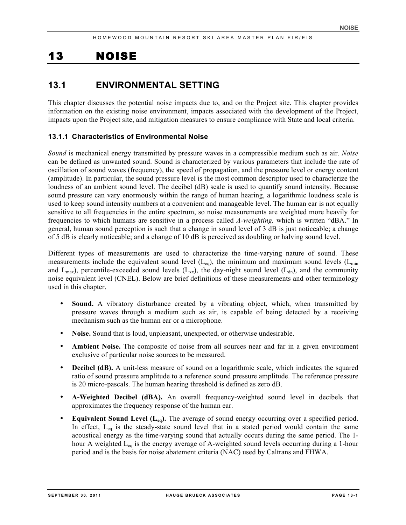# 13 NOISE

# **13.1 ENVIRONMENTAL SETTING**

This chapter discusses the potential noise impacts due to, and on the Project site. This chapter provides information on the existing noise environment, impacts associated with the development of the Project, impacts upon the Project site, and mitigation measures to ensure compliance with State and local criteria.

## **13.1.1 Characteristics of Environmental Noise**

*Sound* is mechanical energy transmitted by pressure waves in a compressible medium such as air. *Noise* can be defined as unwanted sound. Sound is characterized by various parameters that include the rate of oscillation of sound waves (frequency), the speed of propagation, and the pressure level or energy content (amplitude). In particular, the sound pressure level is the most common descriptor used to characterize the loudness of an ambient sound level. The decibel (dB) scale is used to quantify sound intensity. Because sound pressure can vary enormously within the range of human hearing, a logarithmic loudness scale is used to keep sound intensity numbers at a convenient and manageable level. The human ear is not equally sensitive to all frequencies in the entire spectrum, so noise measurements are weighted more heavily for frequencies to which humans are sensitive in a process called *A-weighting,* which is written "dBA." In general, human sound perception is such that a change in sound level of 3 dB is just noticeable; a change of 5 dB is clearly noticeable; and a change of 10 dB is perceived as doubling or halving sound level.

Different types of measurements are used to characterize the time-varying nature of sound. These measurements include the equivalent sound level  $(L_{eq})$ , the minimum and maximum sound levels  $(L_{min})$ and  $L_{\text{max}}$ ), percentile-exceeded sound levels ( $L_{xx}$ ), the day-night sound level ( $L_{dn}$ ), and the community noise equivalent level (CNEL). Below are brief definitions of these measurements and other terminology used in this chapter.

- **Sound.** A vibratory disturbance created by a vibrating object, which, when transmitted by pressure waves through a medium such as air, is capable of being detected by a receiving mechanism such as the human ear or a microphone.
- **Noise.** Sound that is loud, unpleasant, unexpected, or otherwise undesirable.
- Ambient Noise. The composite of noise from all sources near and far in a given environment exclusive of particular noise sources to be measured.
- **Decibel (dB).** A unit-less measure of sound on a logarithmic scale, which indicates the squared ratio of sound pressure amplitude to a reference sound pressure amplitude. The reference pressure is 20 micro-pascals. The human hearing threshold is defined as zero dB.
- **A-Weighted Decibel (dBA).** An overall frequency-weighted sound level in decibels that approximates the frequency response of the human ear.
- **Equivalent Sound Level (L<sub>eq</sub>).** The average of sound energy occurring over a specified period. In effect,  $L_{eq}$  is the steady-state sound level that in a stated period would contain the same acoustical energy as the time-varying sound that actually occurs during the same period. The 1 hour A weighted  $L_{eq}$  is the energy average of A-weighted sound levels occurring during a 1-hour period and is the basis for noise abatement criteria (NAC) used by Caltrans and FHWA.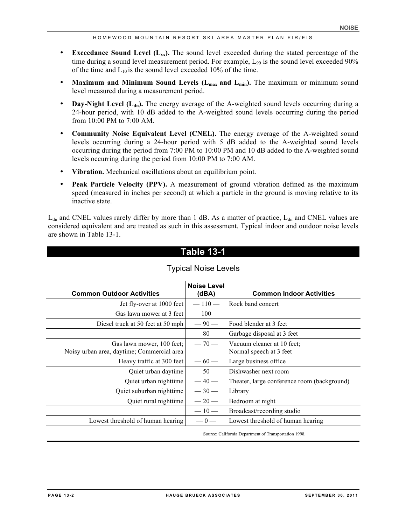- **Exceedance Sound Level (** $L_{xx}$ **).** The sound level exceeded during the stated percentage of the time during a sound level measurement period. For example, L<sub>90</sub> is the sound level exceeded 90% of the time and  $L_{10}$  is the sound level exceeded 10% of the time.
- **Maximum and Minimum Sound Levels (L<sub>max</sub> and L<sub>min</sub>).** The maximum or minimum sound level measured during a measurement period.
- **Day-Night Level (L<sub>dn</sub>).** The energy average of the A-weighted sound levels occurring during a 24-hour period, with 10 dB added to the A-weighted sound levels occurring during the period from 10:00 PM to 7:00 AM.
- **Community Noise Equivalent Level (CNEL).** The energy average of the A-weighted sound levels occurring during a 24-hour period with 5 dB added to the A-weighted sound levels occurring during the period from 7:00 PM to 10:00 PM and 10 dB added to the A-weighted sound levels occurring during the period from 10:00 PM to 7:00 AM.
- **Vibration.** Mechanical oscillations about an equilibrium point.
- **Peak Particle Velocity (PPV).** A measurement of ground vibration defined as the maximum speed (measured in inches per second) at which a particle in the ground is moving relative to its inactive state.

 $L_{dn}$  and CNEL values rarely differ by more than 1 dB. As a matter of practice,  $L_{dn}$  and CNEL values are considered equivalent and are treated as such in this assessment. Typical indoor and outdoor noise levels are shown in Table 13-1.

# **Table 13-1**

| <b>Common Outdoor Activities</b>                                        | <b>Noise Level</b><br>(dBA) | <b>Common Indoor Activities</b>                       |
|-------------------------------------------------------------------------|-----------------------------|-------------------------------------------------------|
| Jet fly-over at 1000 feet                                               | $-110-$                     | Rock band concert                                     |
| Gas lawn mower at 3 feet                                                | $-100-$                     |                                                       |
| Diesel truck at 50 feet at 50 mph                                       | $-90-$                      | Food blender at 3 feet                                |
|                                                                         | $-80-$                      | Garbage disposal at 3 feet                            |
| Gas lawn mower, 100 feet;<br>Noisy urban area, daytime; Commercial area | $-70-$                      | Vacuum cleaner at 10 feet:<br>Normal speech at 3 feet |
| Heavy traffic at 300 feet                                               | $-60-$                      | Large business office                                 |
| Quiet urban daytime                                                     | $-50-$                      | Dishwasher next room                                  |
| Quiet urban nighttime                                                   | $-40-$                      | Theater, large conference room (background)           |
| Quiet suburban nighttime                                                | $-30-$                      | Library                                               |
| Quiet rural nighttime                                                   | $-20-$                      | Bedroom at night                                      |
|                                                                         | $-10-$                      | Broadcast/recording studio                            |
| Lowest threshold of human hearing                                       | $-0-$                       | Lowest threshold of human hearing                     |

## Typical Noise Levels

Source: California Department of Transportation 1998.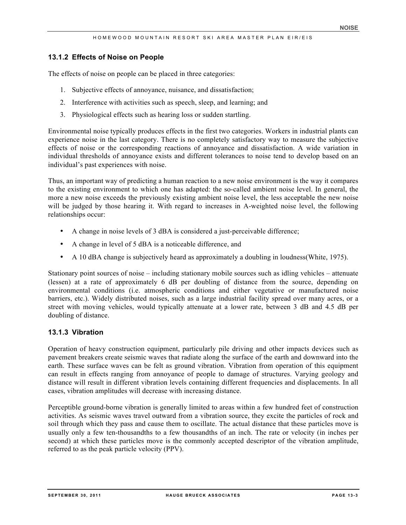#### **13.1.2 Effects of Noise on People**

The effects of noise on people can be placed in three categories:

- 1. Subjective effects of annoyance, nuisance, and dissatisfaction;
- 2. Interference with activities such as speech, sleep, and learning; and
- 3. Physiological effects such as hearing loss or sudden startling.

Environmental noise typically produces effects in the first two categories. Workers in industrial plants can experience noise in the last category. There is no completely satisfactory way to measure the subjective effects of noise or the corresponding reactions of annoyance and dissatisfaction. A wide variation in individual thresholds of annoyance exists and different tolerances to noise tend to develop based on an individual's past experiences with noise.

Thus, an important way of predicting a human reaction to a new noise environment is the way it compares to the existing environment to which one has adapted: the so-called ambient noise level. In general, the more a new noise exceeds the previously existing ambient noise level, the less acceptable the new noise will be judged by those hearing it. With regard to increases in A-weighted noise level, the following relationships occur:

- A change in noise levels of 3 dBA is considered a just-perceivable difference;
- A change in level of 5 dBA is a noticeable difference, and
- A 10 dBA change is subjectively heard as approximately a doubling in loudness (White, 1975).

Stationary point sources of noise – including stationary mobile sources such as idling vehicles – attenuate (lessen) at a rate of approximately 6 dB per doubling of distance from the source, depending on environmental conditions (i.e. atmospheric conditions and either vegetative or manufactured noise barriers, etc.). Widely distributed noises, such as a large industrial facility spread over many acres, or a street with moving vehicles, would typically attenuate at a lower rate, between 3 dB and 4.5 dB per doubling of distance.

## **13.1.3 Vibration**

Operation of heavy construction equipment, particularly pile driving and other impacts devices such as pavement breakers create seismic waves that radiate along the surface of the earth and downward into the earth. These surface waves can be felt as ground vibration. Vibration from operation of this equipment can result in effects ranging from annoyance of people to damage of structures. Varying geology and distance will result in different vibration levels containing different frequencies and displacements. In all cases, vibration amplitudes will decrease with increasing distance.

Perceptible ground-borne vibration is generally limited to areas within a few hundred feet of construction activities. As seismic waves travel outward from a vibration source, they excite the particles of rock and soil through which they pass and cause them to oscillate. The actual distance that these particles move is usually only a few ten-thousandths to a few thousandths of an inch. The rate or velocity (in inches per second) at which these particles move is the commonly accepted descriptor of the vibration amplitude, referred to as the peak particle velocity (PPV).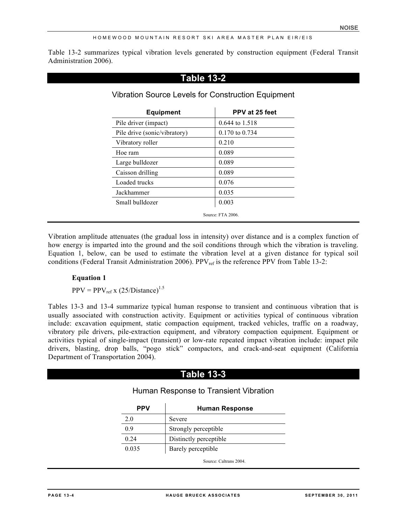Table 13-2 summarizes typical vibration levels generated by construction equipment (Federal Transit Administration 2006).

| <b>Equipment</b>             | PPV at 25 feet |
|------------------------------|----------------|
| Pile driver (impact)         | 0.644 to 1.518 |
| Pile drive (sonic/vibratory) | 0.170 to 0.734 |
| Vibratory roller             | 0.210          |
| Hoe ram                      | 0.089          |
| Large bulldozer              | 0.089          |
| Caisson drilling             | 0.089          |
| Loaded trucks                | 0.076          |
| Jackhammer                   | 0.035          |
| Small bulldozer              | 0.003          |

Vibration amplitude attenuates (the gradual loss in intensity) over distance and is a complex function of how energy is imparted into the ground and the soil conditions through which the vibration is traveling. Equation 1, below, can be used to estimate the vibration level at a given distance for typical soil conditions (Federal Transit Administration 2006). PPV<sub>ref</sub> is the reference PPV from Table 13-2:

## **Equation 1**

 $PPV = PPV_{ref} x (25/Distance)^{1.5}$ 

Tables 13-3 and 13-4 summarize typical human response to transient and continuous vibration that is usually associated with construction activity. Equipment or activities typical of continuous vibration include: excavation equipment, static compaction equipment, tracked vehicles, traffic on a roadway, vibratory pile drivers, pile-extraction equipment, and vibratory compaction equipment. Equipment or activities typical of single-impact (transient) or low-rate repeated impact vibration include: impact pile drivers, blasting, drop balls, "pogo stick" compactors, and crack-and-seat equipment (California Department of Transportation 2004).

# **Table 13-3**

## Human Response to Transient Vibration

| PPV   | <b>Human Response</b>  |  |  |
|-------|------------------------|--|--|
| 2.0   | Severe                 |  |  |
| 0.9   | Strongly perceptible   |  |  |
| 0.24  | Distinctly perceptible |  |  |
| 0.035 | Barely perceptible     |  |  |
|       | Source: Caltrans 2004. |  |  |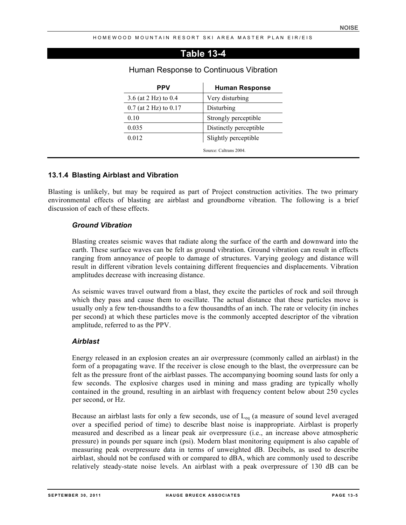# **Table 13-4**

| <b>PPV</b>                | <b>Human Response</b>  |  |
|---------------------------|------------------------|--|
| 3.6 (at 2 Hz) to 0.4      | Very disturbing        |  |
| $0.7$ (at 2 Hz) to $0.17$ | Disturbing             |  |
| 0.10                      | Strongly perceptible   |  |
| 0.035                     | Distinctly perceptible |  |
| 0.012                     | Slightly perceptible   |  |
|                           | Source: Caltrans 2004  |  |

#### Human Response to Continuous Vibration

#### **13.1.4 Blasting Airblast and Vibration**

Blasting is unlikely, but may be required as part of Project construction activities. The two primary environmental effects of blasting are airblast and groundborne vibration. The following is a brief discussion of each of these effects.

#### *Ground Vibration*

Blasting creates seismic waves that radiate along the surface of the earth and downward into the earth. These surface waves can be felt as ground vibration. Ground vibration can result in effects ranging from annoyance of people to damage of structures. Varying geology and distance will result in different vibration levels containing different frequencies and displacements. Vibration amplitudes decrease with increasing distance.

As seismic waves travel outward from a blast, they excite the particles of rock and soil through which they pass and cause them to oscillate. The actual distance that these particles move is usually only a few ten-thousandths to a few thousandths of an inch. The rate or velocity (in inches per second) at which these particles move is the commonly accepted descriptor of the vibration amplitude, referred to as the PPV.

#### *Airblast*

Energy released in an explosion creates an air overpressure (commonly called an airblast) in the form of a propagating wave. If the receiver is close enough to the blast, the overpressure can be felt as the pressure front of the airblast passes. The accompanying booming sound lasts for only a few seconds. The explosive charges used in mining and mass grading are typically wholly contained in the ground, resulting in an airblast with frequency content below about 250 cycles per second, or Hz.

Because an airblast lasts for only a few seconds, use of  $L_{eq}$  (a measure of sound level averaged over a specified period of time) to describe blast noise is inappropriate. Airblast is properly measured and described as a linear peak air overpressure (i.e., an increase above atmospheric pressure) in pounds per square inch (psi). Modern blast monitoring equipment is also capable of measuring peak overpressure data in terms of unweighted dB. Decibels, as used to describe airblast, should not be confused with or compared to dBA, which are commonly used to describe relatively steady-state noise levels. An airblast with a peak overpressure of 130 dB can be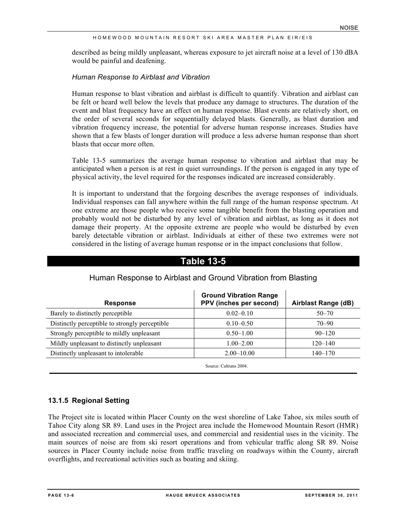described as being mildly unpleasant, whereas exposure to jet aircraft noise at a level of 130 dBA would be painful and deafening.

#### *Human Response to Airblast and Vibration*

Human response to blast vibration and airblast is difficult to quantify. Vibration and airblast can be felt or heard well below the levels that produce any damage to structures. The duration of the event and blast frequency have an effect on human response. Blast events are relatively short, on the order of several seconds for sequentially delayed blasts. Generally, as blast duration and vibration frequency increase, the potential for adverse human response increases. Studies have shown that a few blasts of longer duration will produce a less adverse human response than short blasts that occur more often.

Table 13-5 summarizes the average human response to vibration and airblast that may be anticipated when a person is at rest in quiet surroundings. If the person is engaged in any type of physical activity, the level required for the responses indicated are increased considerably.

It is important to understand that the forgoing describes the average responses of individuals. Individual responses can fall anywhere within the full range of the human response spectrum. At one extreme are those people who receive some tangible benefit from the blasting operation and probably would not be disturbed by any level of vibration and airblast, as long as it does not damage their property. At the opposite extreme are people who would be disturbed by even barely detectable vibration or airblast. Individuals at either of these two extremes were not considered in the listing of average human response or in the impact conclusions that follow.

# **Response Ground Vibration Range PPV (inches per second) Airblast Range (dB)** Barely to distinctly perceptible  $0.02-0.10$  50–70 Distinctly perceptible to strongly perceptible  $0.10-0.50$  70–90 Strongly perceptible to mildly unpleasant  $0.50-1.00$  90–120 Mildly unpleasant to distinctly unpleasant 1.00–2.00 120–140 Distinctly unpleasant to intolerable 2.00–10.00 140–170

# Human Response to Airblast and Ground Vibration from Blasting

**Table 13-5**

Source: Caltrans 2004.

## **13.1.5 Regional Setting**

The Project site is located within Placer County on the west shoreline of Lake Tahoe, six miles south of Tahoe City along SR 89. Land uses in the Project area include the Homewood Mountain Resort (HMR) and associated recreation and commercial uses, and commercial and residential uses in the vicinity. The main sources of noise are from ski resort operations and from vehicular traffic along SR 89. Noise sources in Placer County include noise from traffic traveling on roadways within the County, aircraft overflights, and recreational activities such as boating and skiing.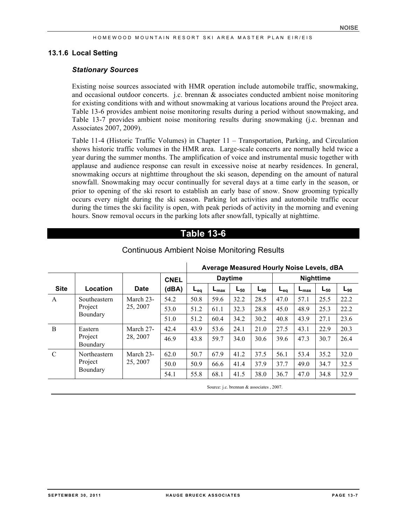#### **13.1.6 Local Setting**

#### *Stationary Sources*

Existing noise sources associated with HMR operation include automobile traffic, snowmaking, and occasional outdoor concerts. j.c. brennan  $\&$  associates conducted ambient noise monitoring for existing conditions with and without snowmaking at various locations around the Project area. Table 13-6 provides ambient noise monitoring results during a period without snowmaking, and Table 13-7 provides ambient noise monitoring results during snowmaking (j.c. brennan and Associates 2007, 2009).

Table 11-4 (Historic Traffic Volumes) in Chapter 11 – Transportation, Parking, and Circulation shows historic traffic volumes in the HMR area. Large-scale concerts are normally held twice a year during the summer months. The amplification of voice and instrumental music together with applause and audience response can result in excessive noise at nearby residences. In general, snowmaking occurs at nighttime throughout the ski season, depending on the amount of natural snowfall. Snowmaking may occur continually for several days at a time early in the season, or prior to opening of the ski resort to establish an early base of snow. Snow grooming typically occurs every night during the ski season. Parking lot activities and automobile traffic occur during the times the ski facility is open, with peak periods of activity in the morning and evening hours. Snow removal occurs in the parking lots after snowfall, typically at nighttime.

# **Table 13-6**

|               |                     |             |             | Average Measured Hourly Noise Levels, dBA |                  |                |          |          |                  |                  |          |
|---------------|---------------------|-------------|-------------|-------------------------------------------|------------------|----------------|----------|----------|------------------|------------------|----------|
|               |                     |             | <b>CNEL</b> |                                           |                  | <b>Daytime</b> |          |          |                  | <b>Nighttime</b> |          |
| <b>Site</b>   | Location            | <b>Date</b> | (dBA)       | L <sub>eq</sub>                           | $L_{\text{max}}$ | $L_{50}$       | $L_{90}$ | $L_{ea}$ | $L_{\text{max}}$ | $L_{50}$         | $L_{90}$ |
| $\mathbf{A}$  | Southeastern        | March 23-   | 54.2        | 50.8                                      | 59.6             | 32.2           | 28.5     | 47.0     | 57.1             | 25.5             | 22.2     |
|               | Project             | 25, 2007    | 53.0        | 51.2                                      | 61.1             | 32.3           | 28.8     | 45.0     | 48.9             | 25.3             | 22.2     |
|               | Boundary            |             | 51.0        | 51.2                                      | 60.4             | 34.2           | 30.2     | 40.8     | 43.9             | 27.1             | 23.6     |
| B             | Eastern             | March 27-   | 42.4        | 43.9                                      | 53.6             | 24.1           | 21.0     | 27.5     | 43.1             | 22.9             | 20.3     |
|               | Project<br>Boundary | 28, 2007    | 46.9        | 43.8                                      | 59.7             | 34.0           | 30.6     | 39.6     | 47.3             | 30.7             | 26.4     |
| $\mathcal{C}$ | Northeastern        | March 23-   | 62.0        | 50.7                                      | 67.9             | 41.2           | 37.5     | 56.1     | 53.4             | 35.2             | 32.0     |
|               | Project<br>25, 2007 | 50.0        | 50.9        | 66.6                                      | 41.4             | 37.9           | 37.7     | 49.0     | 34.7             | 32.5             |          |
|               | Boundary            |             | 54.1        | 55.8                                      | 68.1             | 41.5           | 38.0     | 36.7     | 47.0             | 34.8             | 32.9     |

## Continuous Ambient Noise Monitoring Results

Source: j.c. brennan & associates , 2007.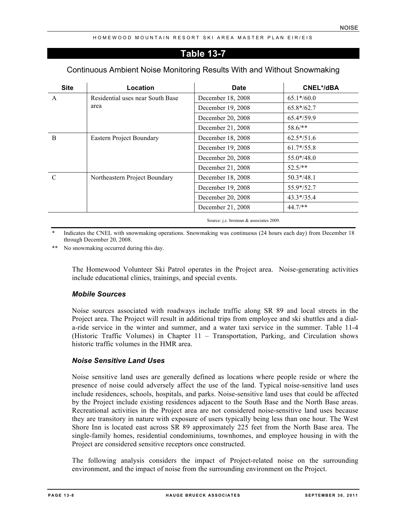# **Table 13-7**

# Continuous Ambient Noise Monitoring Results With and Without Snowmaking

| <b>Site</b>   | Location                         | <b>Date</b>       | <b>CNEL*/dBA</b> |
|---------------|----------------------------------|-------------------|------------------|
| A             | Residential uses near South Base | December 18, 2008 | $65.1*/60.0$     |
|               | area                             | December 19, 2008 | $65.8*/62.7$     |
|               |                                  | December 20, 2008 | $65.4*/59.9$     |
|               |                                  | December 21, 2008 | $58.6$ /**       |
| <sub>B</sub>  | <b>Eastern Project Boundary</b>  | December 18, 2008 | $62.5*/51.6$     |
|               |                                  | December 19, 2008 | $61.7*/55.8$     |
|               |                                  | December 20, 2008 | $55.0* / 48.0$   |
|               |                                  | December 21, 2008 | $52.5/**$        |
| $\mathcal{C}$ | Northeastern Project Boundary    | December 18, 2008 | $50.3*/48.1$     |
|               | December 19, 2008                | $55.9*/52.7$      |                  |
|               |                                  | December 20, 2008 | $43.3*/35.4$     |
|               |                                  | December 21, 2008 | $44.7$ /**       |

Source: j.c. brennan & associates 2009.

Indicates the CNEL with snowmaking operations. Snowmaking was continuous (24 hours each day) from December 18 through December 20, 2008.

\*\* No snowmaking occurred during this day.

The Homewood Volunteer Ski Patrol operates in the Project area. Noise-generating activities include educational clinics, trainings, and special events.

## *Mobile Sources*

Noise sources associated with roadways include traffic along SR 89 and local streets in the Project area. The Project will result in additional trips from employee and ski shuttles and a diala-ride service in the winter and summer, and a water taxi service in the summer. Table 11-4 (Historic Traffic Volumes) in Chapter 11 – Transportation, Parking, and Circulation shows historic traffic volumes in the HMR area.

## *Noise Sensitive Land Uses*

Noise sensitive land uses are generally defined as locations where people reside or where the presence of noise could adversely affect the use of the land. Typical noise-sensitive land uses include residences, schools, hospitals, and parks. Noise-sensitive land uses that could be affected by the Project include existing residences adjacent to the South Base and the North Base areas. Recreational activities in the Project area are not considered noise-sensitive land uses because they are transitory in nature with exposure of users typically being less than one hour. The West Shore Inn is located east across SR 89 approximately 225 feet from the North Base area. The single-family homes, residential condominiums, townhomes, and employee housing in with the Project are considered sensitive receptors once constructed.

The following analysis considers the impact of Project-related noise on the surrounding environment, and the impact of noise from the surrounding environment on the Project.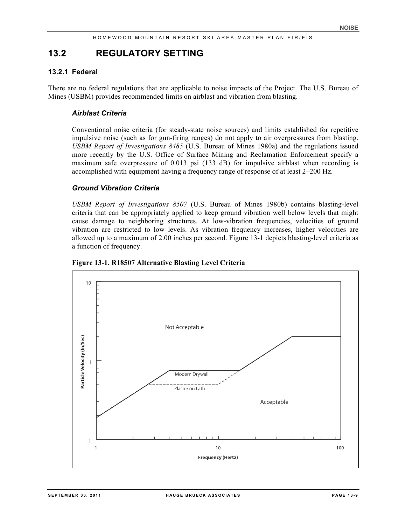# **13.2 REGULATORY SETTING**

## **13.2.1 Federal**

There are no federal regulations that are applicable to noise impacts of the Project. The U.S. Bureau of Mines (USBM) provides recommended limits on airblast and vibration from blasting.

#### *Airblast Criteria*

Conventional noise criteria (for steady-state noise sources) and limits established for repetitive impulsive noise (such as for gun-firing ranges) do not apply to air overpressures from blasting. *USBM Report of Investigations 8485* (U.S. Bureau of Mines 1980a) and the regulations issued more recently by the U.S. Office of Surface Mining and Reclamation Enforcement specify a maximum safe overpressure of 0.013 psi (133 dB) for impulsive airblast when recording is accomplished with equipment having a frequency range of response of at least 2–200 Hz.

#### *Ground Vibration Criteria*

*USBM Report of Investigations 8507* (U.S. Bureau of Mines 1980b) contains blasting-level criteria that can be appropriately applied to keep ground vibration well below levels that might cause damage to neighboring structures. At low-vibration frequencies, velocities of ground vibration are restricted to low levels. As vibration frequency increases, higher velocities are allowed up to a maximum of 2.00 inches per second. Figure 13-1 depicts blasting-level criteria as a function of frequency.



**Figure 13-1. R18507 Alternative Blasting Level Criteria**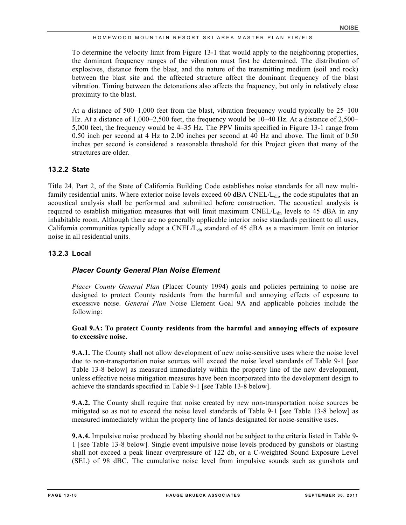To determine the velocity limit from Figure 13-1 that would apply to the neighboring properties, the dominant frequency ranges of the vibration must first be determined. The distribution of explosives, distance from the blast, and the nature of the transmitting medium (soil and rock) between the blast site and the affected structure affect the dominant frequency of the blast vibration. Timing between the detonations also affects the frequency, but only in relatively close proximity to the blast.

At a distance of 500–1,000 feet from the blast, vibration frequency would typically be 25–100 Hz. At a distance of 1,000–2,500 feet, the frequency would be 10–40 Hz. At a distance of 2,500– 5,000 feet, the frequency would be 4–35 Hz. The PPV limits specified in Figure 13-1 range from 0.50 inch per second at 4 Hz to 2.00 inches per second at 40 Hz and above. The limit of 0.50 inches per second is considered a reasonable threshold for this Project given that many of the structures are older.

## **13.2.2 State**

Title 24, Part 2, of the State of California Building Code establishes noise standards for all new multifamily residential units. Where exterior noise levels exceed 60 dBA CNEL/L<sub>dn</sub>, the code stipulates that an acoustical analysis shall be performed and submitted before construction. The acoustical analysis is required to establish mitigation measures that will limit maximum  $CNEL/L<sub>dn</sub>$  levels to 45 dBA in any inhabitable room. Although there are no generally applicable interior noise standards pertinent to all uses, California communities typically adopt a CNEL/L<sub>dn</sub> standard of 45 dBA as a maximum limit on interior noise in all residential units.

## **13.2.3 Local**

## *Placer County General Plan Noise Element*

*Placer County General Plan* (Placer County 1994) goals and policies pertaining to noise are designed to protect County residents from the harmful and annoying effects of exposure to excessive noise. *General Plan* Noise Element Goal 9A and applicable policies include the following:

## **Goal 9.A: To protect County residents from the harmful and annoying effects of exposure to excessive noise.**

**9.A.1.** The County shall not allow development of new noise-sensitive uses where the noise level due to non-transportation noise sources will exceed the noise level standards of Table 9-1 [see Table 13-8 below] as measured immediately within the property line of the new development, unless effective noise mitigation measures have been incorporated into the development design to achieve the standards specified in Table 9-1 [see Table 13-8 below].

**9.A.2.** The County shall require that noise created by new non-transportation noise sources be mitigated so as not to exceed the noise level standards of Table 9-1 [see Table 13-8 below] as measured immediately within the property line of lands designated for noise-sensitive uses.

**9.A.4.** Impulsive noise produced by blasting should not be subject to the criteria listed in Table 9- 1 [see Table 13-8 below]. Single event impulsive noise levels produced by gunshots or blasting shall not exceed a peak linear overpressure of 122 db, or a C-weighted Sound Exposure Level (SEL) of 98 dBC. The cumulative noise level from impulsive sounds such as gunshots and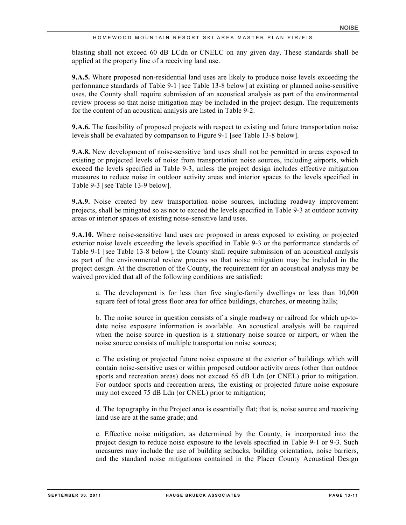blasting shall not exceed 60 dB LCdn or CNELC on any given day. These standards shall be applied at the property line of a receiving land use.

**9.A.5.** Where proposed non-residential land uses are likely to produce noise levels exceeding the performance standards of Table 9-1 [see Table 13-8 below] at existing or planned noise-sensitive uses, the County shall require submission of an acoustical analysis as part of the environmental review process so that noise mitigation may be included in the project design. The requirements for the content of an acoustical analysis are listed in Table 9-2.

**9.A.6.** The feasibility of proposed projects with respect to existing and future transportation noise levels shall be evaluated by comparison to Figure 9-1 [see Table 13-8 below].

**9.A.8.** New development of noise-sensitive land uses shall not be permitted in areas exposed to existing or projected levels of noise from transportation noise sources, including airports, which exceed the levels specified in Table 9-3, unless the project design includes effective mitigation measures to reduce noise in outdoor activity areas and interior spaces to the levels specified in Table 9-3 [see Table 13-9 below].

**9.A.9.** Noise created by new transportation noise sources, including roadway improvement projects, shall be mitigated so as not to exceed the levels specified in Table 9-3 at outdoor activity areas or interior spaces of existing noise-sensitive land uses.

**9.A.10.** Where noise-sensitive land uses are proposed in areas exposed to existing or projected exterior noise levels exceeding the levels specified in Table 9-3 or the performance standards of Table 9-1 [see Table 13-8 below], the County shall require submission of an acoustical analysis as part of the environmental review process so that noise mitigation may be included in the project design. At the discretion of the County, the requirement for an acoustical analysis may be waived provided that all of the following conditions are satisfied:

a. The development is for less than five single-family dwellings or less than 10,000 square feet of total gross floor area for office buildings, churches, or meeting halls;

b. The noise source in question consists of a single roadway or railroad for which up-todate noise exposure information is available. An acoustical analysis will be required when the noise source in question is a stationary noise source or airport, or when the noise source consists of multiple transportation noise sources;

c. The existing or projected future noise exposure at the exterior of buildings which will contain noise-sensitive uses or within proposed outdoor activity areas (other than outdoor sports and recreation areas) does not exceed 65 dB Ldn (or CNEL) prior to mitigation. For outdoor sports and recreation areas, the existing or projected future noise exposure may not exceed 75 dB Ldn (or CNEL) prior to mitigation;

d. The topography in the Project area is essentially flat; that is, noise source and receiving land use are at the same grade; and

e. Effective noise mitigation, as determined by the County, is incorporated into the project design to reduce noise exposure to the levels specified in Table 9-1 or 9-3. Such measures may include the use of building setbacks, building orientation, noise barriers, and the standard noise mitigations contained in the Placer County Acoustical Design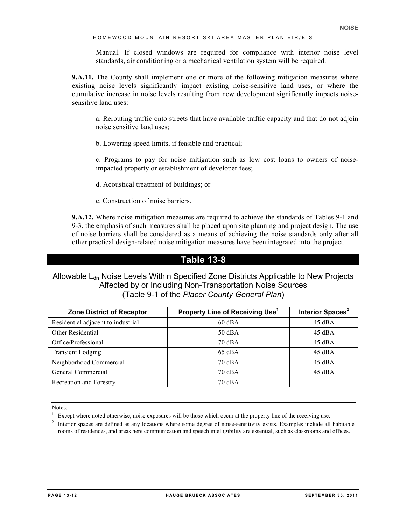Manual. If closed windows are required for compliance with interior noise level standards, air conditioning or a mechanical ventilation system will be required.

**9.A.11.** The County shall implement one or more of the following mitigation measures where existing noise levels significantly impact existing noise-sensitive land uses, or where the cumulative increase in noise levels resulting from new development significantly impacts noisesensitive land uses:

a. Rerouting traffic onto streets that have available traffic capacity and that do not adjoin noise sensitive land uses;

b. Lowering speed limits, if feasible and practical;

c. Programs to pay for noise mitigation such as low cost loans to owners of noiseimpacted property or establishment of developer fees;

- d. Acoustical treatment of buildings; or
- e. Construction of noise barriers.

**9.A.12.** Where noise mitigation measures are required to achieve the standards of Tables 9-1 and 9-3, the emphasis of such measures shall be placed upon site planning and project design. The use of noise barriers shall be considered as a means of achieving the noise standards only after all other practical design-related noise mitigation measures have been integrated into the project.

# **Table 13-8**

## Allowable L<sub>dn</sub> Noise Levels Within Specified Zone Districts Applicable to New Projects Affected by or Including Non-Transportation Noise Sources (Table 9-1 of the *Placer County General Plan*)

| <b>Zone District of Receptor</b>   | Property Line of Receiving Use <sup>1</sup> | Interior Spaces <sup>2</sup> |
|------------------------------------|---------------------------------------------|------------------------------|
| Residential adjacent to industrial | $60$ dBA                                    |                              |
| Other Residential                  | $50 \text{ dBA}$                            | $45 \text{ dBA}$             |
| Office/Professional                | 70 dBA                                      | $45 \text{ dBA}$             |
| <b>Transient Lodging</b>           | $65$ dBA                                    | $45 \text{ dBA}$             |
| Neighborhood Commercial            | 70 dBA                                      | $45 \text{ dBA}$             |
| General Commercial                 | 70 dBA                                      | $45 \text{ dBA}$             |
| Recreation and Forestry            | 70 dBA                                      | $\overline{\phantom{0}}$     |

Notes:

<sup>2</sup> Interior spaces are defined as any locations where some degree of noise-sensitivity exists. Examples include all habitable rooms of residences, and areas here communication and speech intelligibility are essential, such as classrooms and offices.

 $1$  Except where noted otherwise, noise exposures will be those which occur at the property line of the receiving use.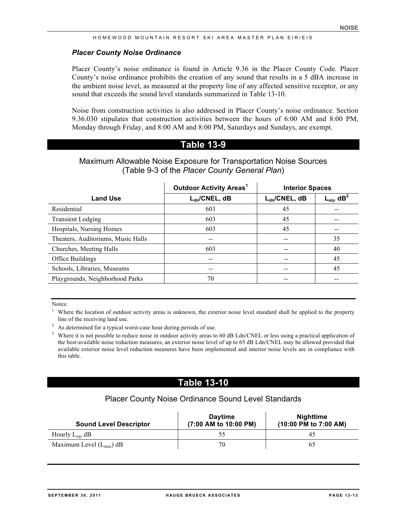#### *Placer County Noise Ordinance*

Placer County's noise ordinance is found in Article 9.36 in the Placer County Code. Placer County's noise ordinance prohibits the creation of any sound that results in a 5 dBA increase in the ambient noise level, as measured at the property line of any affected sensitive receptor, or any sound that exceeds the sound level standards summarized in Table 13-10.

Noise from construction activities is also addressed in Placer County's noise ordinance. Section 9.36.030 stipulates that construction activities between the hours of 6:00 AM and 8:00 PM, Monday through Friday, and 8:00 AM and 8:00 PM, Saturdays and Sundays, are exempt.

## **Table 13-9**

## Maximum Allowable Noise Exposure for Transportation Noise Sources (Table 9-3 of the *Placer County General Plan*)

|                                    | <b>Outdoor Activity Areas1</b> | <b>Interior Spaces</b> |                            |  |
|------------------------------------|--------------------------------|------------------------|----------------------------|--|
| <b>Land Use</b>                    | $L_{dn}/CNEL, dB$              | $L_{dn}/CNEL$ , dB     | $L_{eq}$ , dB <sup>2</sup> |  |
| Residential                        | 603                            | 45                     |                            |  |
| <b>Transient Lodging</b>           | 603                            | 45                     |                            |  |
| Hospitals, Nursing Homes           | 603                            | 45                     | --                         |  |
| Theaters, Auditoriums, Music Halls | --                             | $- -$                  | 35                         |  |
| Churches, Meeting Halls            | 603                            |                        | 40                         |  |
| Office Buildings                   |                                | --                     | 45                         |  |
| Schools, Libraries, Museums        | --                             | --                     | 45                         |  |
| Playgrounds, Neighborhood Parks    | 70                             |                        |                            |  |

Notes:<br><sup>1</sup> Where the location of outdoor activity areas is unknown, the exterior noise level standard shall be applied to the property line of the receiving land use.

<sup>2</sup> As determined for a typical worst-case hour during periods of use.

<sup>3</sup> Where it is not possible to reduce noise in outdoor activity areas to 60 dB Ldn/CNEL or less using a practical application of the best-available noise reduction measures, an exterior noise level of up to 65 dB Ldn/CNEL may be allowed provided that available exterior noise level reduction measures have been implemented and interior noise levels are in compliance with this table.

# **Table 13-10**

# Placer County Noise Ordinance Sound Level Standards

| <b>Sound Level Descriptor</b>       | <b>Daytime</b><br>(7:00 AM to 10:00 PM) | <b>Nighttime</b><br>(10:00 PM to 7:00 AM) |
|-------------------------------------|-----------------------------------------|-------------------------------------------|
| Hourly $L_{eq}$ , dB                |                                         | 45                                        |
| Maximum Level $(L_{\text{max}})$ dB | 70                                      | 65                                        |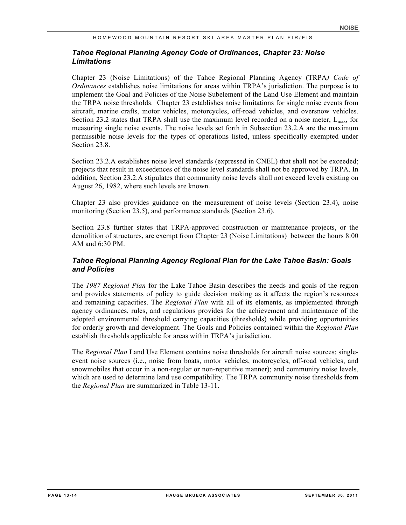## *Tahoe Regional Planning Agency Code of Ordinances, Chapter 23: Noise Limitations*

Chapter 23 (Noise Limitations) of the Tahoe Regional Planning Agency (TRPA*) Code of Ordinances* establishes noise limitations for areas within TRPA's jurisdiction. The purpose is to implement the Goal and Policies of the Noise Subelement of the Land Use Element and maintain the TRPA noise thresholds. Chapter 23 establishes noise limitations for single noise events from aircraft, marine crafts, motor vehicles, motorcycles, off-road vehicles, and oversnow vehicles. Section 23.2 states that TRPA shall use the maximum level recorded on a noise meter,  $L_{\text{max}}$ , for measuring single noise events. The noise levels set forth in Subsection 23.2.A are the maximum permissible noise levels for the types of operations listed, unless specifically exempted under Section 23.8.

Section 23.2.A establishes noise level standards (expressed in CNEL) that shall not be exceeded; projects that result in exceedences of the noise level standards shall not be approved by TRPA. In addition, Section 23.2.A stipulates that community noise levels shall not exceed levels existing on August 26, 1982, where such levels are known.

Chapter 23 also provides guidance on the measurement of noise levels (Section 23.4), noise monitoring (Section 23.5), and performance standards (Section 23.6).

Section 23.8 further states that TRPA-approved construction or maintenance projects, or the demolition of structures, are exempt from Chapter 23 (Noise Limitations) between the hours 8:00 AM and 6:30 PM.

## *Tahoe Regional Planning Agency Regional Plan for the Lake Tahoe Basin: Goals and Policies*

The *1987 Regional Plan* for the Lake Tahoe Basin describes the needs and goals of the region and provides statements of policy to guide decision making as it affects the region's resources and remaining capacities. The *Regional Plan* with all of its elements, as implemented through agency ordinances, rules, and regulations provides for the achievement and maintenance of the adopted environmental threshold carrying capacities (thresholds) while providing opportunities for orderly growth and development. The Goals and Policies contained within the *Regional Plan* establish thresholds applicable for areas within TRPA's jurisdiction.

The *Regional Plan* Land Use Element contains noise thresholds for aircraft noise sources; singleevent noise sources (i.e., noise from boats, motor vehicles, motorcycles, off-road vehicles, and snowmobiles that occur in a non-regular or non-repetitive manner); and community noise levels, which are used to determine land use compatibility. The TRPA community noise thresholds from the *Regional Plan* are summarized in Table 13-11.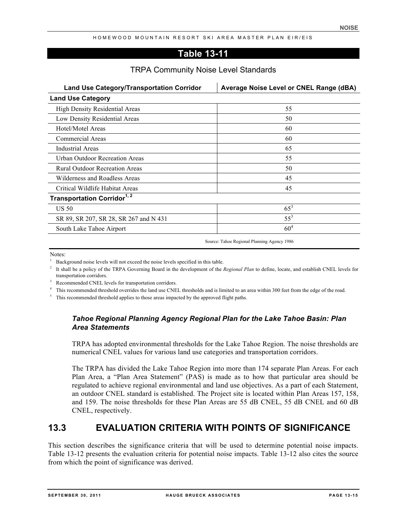# **Table 13-11**

## TRPA Community Noise Level Standards

| <b>Land Use Category/Transportation Corridor</b> | Average Noise Level or CNEL Range (dBA) |
|--------------------------------------------------|-----------------------------------------|
| <b>Land Use Category</b>                         |                                         |
| High Density Residential Areas                   | 55                                      |
| Low Density Residential Areas                    | 50                                      |
| Hotel/Motel Areas                                | 60                                      |
| <b>Commercial Areas</b>                          | 60                                      |
| Industrial Areas                                 | 65                                      |
| <b>Urban Outdoor Recreation Areas</b>            | 55                                      |
| <b>Rural Outdoor Recreation Areas</b>            | 50                                      |
| Wilderness and Roadless Areas                    | 45                                      |
| Critical Wildlife Habitat Areas                  | 45                                      |
| Transportation Corridor <sup>1, 2</sup>          |                                         |
| <b>US 50</b>                                     | $65^3$                                  |
| SR 89, SR 207, SR 28, SR 267 and N 431           | $55^3$                                  |
| South Lake Tahoe Airport                         | 60 <sup>4</sup>                         |

Source: Tahoe Regional Planning Agency 1986

Notes:

- <sup>2</sup> It shall be a policy of the TRPA Governing Board in the development of the *Regional Plan* to define, locate, and establish CNEL levels for transportation corridors.
- <sup>3</sup> Recommended CNEL levels for transportation corridors.
- <sup>4</sup> This recommended threshold overrides the land use CNEL thresholds and is limited to an area within 300 feet from the edge of the road.

<sup>5</sup> This recommended threshold applies to those areas impacted by the approved flight paths.

## *Tahoe Regional Planning Agency Regional Plan for the Lake Tahoe Basin: Plan Area Statements*

TRPA has adopted environmental thresholds for the Lake Tahoe Region. The noise thresholds are numerical CNEL values for various land use categories and transportation corridors.

The TRPA has divided the Lake Tahoe Region into more than 174 separate Plan Areas. For each Plan Area, a "Plan Area Statement" (PAS) is made as to how that particular area should be regulated to achieve regional environmental and land use objectives. As a part of each Statement, an outdoor CNEL standard is established. The Project site is located within Plan Areas 157, 158, and 159. The noise thresholds for these Plan Areas are 55 dB CNEL, 55 dB CNEL and 60 dB CNEL, respectively.

# **13.3 EVALUATION CRITERIA WITH POINTS OF SIGNIFICANCE**

This section describes the significance criteria that will be used to determine potential noise impacts. Table 13-12 presents the evaluation criteria for potential noise impacts. Table 13-12 also cites the source from which the point of significance was derived.

<sup>1</sup> Background noise levels will not exceed the noise levels specified in this table.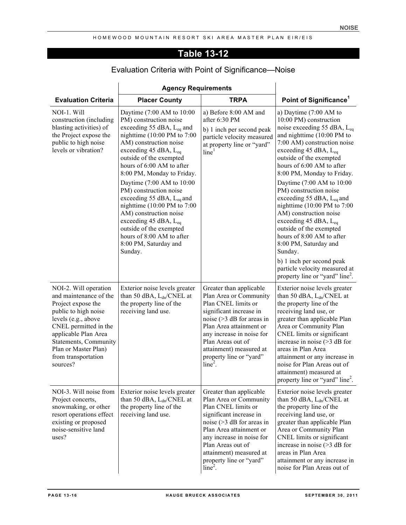# **Table 13-12**

|                                                                                                                                                                                                                                                           | <b>Agency Requirements</b>                                                                                                                                                                                                                                                                                                                                                                                                                                                                                                                                           |                                                                                                                                                                                                                                                                                     |                                                                                                                                                                                                                                                                                                                                                                                                                                                                                                                                                                                                                                                                                                    |
|-----------------------------------------------------------------------------------------------------------------------------------------------------------------------------------------------------------------------------------------------------------|----------------------------------------------------------------------------------------------------------------------------------------------------------------------------------------------------------------------------------------------------------------------------------------------------------------------------------------------------------------------------------------------------------------------------------------------------------------------------------------------------------------------------------------------------------------------|-------------------------------------------------------------------------------------------------------------------------------------------------------------------------------------------------------------------------------------------------------------------------------------|----------------------------------------------------------------------------------------------------------------------------------------------------------------------------------------------------------------------------------------------------------------------------------------------------------------------------------------------------------------------------------------------------------------------------------------------------------------------------------------------------------------------------------------------------------------------------------------------------------------------------------------------------------------------------------------------------|
| <b>Evaluation Criteria</b>                                                                                                                                                                                                                                | <b>Placer County</b>                                                                                                                                                                                                                                                                                                                                                                                                                                                                                                                                                 | <b>TRPA</b>                                                                                                                                                                                                                                                                         | Point of Significance <sup>1</sup>                                                                                                                                                                                                                                                                                                                                                                                                                                                                                                                                                                                                                                                                 |
| NOI-1. Will<br>construction (including<br>blasting activities) of<br>the Project expose the<br>public to high noise<br>levels or vibration?                                                                                                               | Daytime (7:00 AM to 10:00<br>PM) construction noise<br>exceeding 55 dBA, $L_{eq}$ and<br>nighttime $(10:00 \text{ PM to } 7:00$<br>AM) construction noise<br>exceeding 45 dBA, $L_{eq}$<br>outside of the exempted<br>hours of 6:00 AM to after<br>8:00 PM, Monday to Friday.<br>Daytime (7:00 AM to 10:00<br>PM) construction noise<br>exceeding 55 dBA, $L_{eq}$ and<br>nighttime $(10:00 \text{ PM to } 7:00$<br>AM) construction noise<br>exceeding 45 dBA, $L_{eq}$<br>outside of the exempted<br>hours of 8:00 AM to after<br>8:00 PM, Saturday and<br>Sunday. | a) Before 8:00 AM and<br>after 6:30 PM<br>b) 1 inch per second peak<br>particle velocity measured<br>at property line or "yard"<br>line <sup>1</sup>                                                                                                                                | a) Daytime $(7:00 \text{ AM to})$<br>10:00 PM) construction<br>noise exceeding 55 dBA, L <sub>eq</sub><br>and nighttime (10:00 PM to<br>7:00 AM) construction noise<br>exceeding 45 dBA, L <sub>eq</sub><br>outside of the exempted<br>hours of 6:00 AM to after<br>8:00 PM, Monday to Friday.<br>Daytime (7:00 AM to 10:00<br>PM) construction noise<br>exceeding 55 dBA, $L_{eq}$ and<br>nighttime $(10:00 \text{ PM to } 7:00$<br>AM) construction noise<br>exceeding 45 dBA, $L_{eq}$<br>outside of the exempted<br>hours of 8:00 AM to after<br>8:00 PM, Saturday and<br>Sunday.<br>b) 1 inch per second peak<br>particle velocity measured at<br>property line or "yard" line <sup>2</sup> . |
| NOI-2. Will operation<br>and maintenance of the<br>Project expose the<br>public to high noise<br>levels (e.g., above<br>CNEL permitted in the<br>applicable Plan Area<br>Statements, Community<br>Plan or Master Plan)<br>from transportation<br>sources? | Exterior noise levels greater<br>than 50 dBA, $L_{dn}/CNEL$ at<br>the property line of the<br>receiving land use.                                                                                                                                                                                                                                                                                                                                                                                                                                                    | Greater than applicable<br>Plan Area or Community<br>Plan CNEL limits or<br>significant increase in<br>noise $($ >3 dB for areas in<br>Plan Area attainment or<br>any increase in noise for<br>Plan Areas out of<br>attainment) measured at<br>property line or "yard"<br>$line2$ . | Exterior noise levels greater<br>than 50 dBA, $L_{dn}/CNEL$ at<br>the property line of the<br>receiving land use, or<br>greater than applicable Plan<br>Area or Community Plan<br>CNEL limits or significant<br>increase in noise $($ >3 dB for<br>areas in Plan Area<br>attainment or any increase in<br>noise for Plan Areas out of<br>attainment) measured at<br>property line or "yard" line <sup>2</sup> .                                                                                                                                                                                                                                                                                    |
| NOI-3. Will noise from<br>Project concerts,<br>snowmaking, or other<br>resort operations effect<br>existing or proposed<br>noise-sensitive land<br>uses?                                                                                                  | Exterior noise levels greater<br>than 50 dBA, $L_{dn}/CNEL$ at<br>the property line of the<br>receiving land use.                                                                                                                                                                                                                                                                                                                                                                                                                                                    | Greater than applicable<br>Plan Area or Community<br>Plan CNEL limits or<br>significant increase in<br>noise $($ >3 dB for areas in<br>Plan Area attainment or<br>any increase in noise for<br>Plan Areas out of<br>attainment) measured at<br>property line or "yard"<br>$line2$ . | Exterior noise levels greater<br>than 50 dBA, $L_{dn}/CNEL$ at<br>the property line of the<br>receiving land use, or<br>greater than applicable Plan<br>Area or Community Plan<br>CNEL limits or significant<br>increase in noise $($ >3 dB for<br>areas in Plan Area<br>attainment or any increase in<br>noise for Plan Areas out of                                                                                                                                                                                                                                                                                                                                                              |

# Evaluation Criteria with Point of Significance—Noise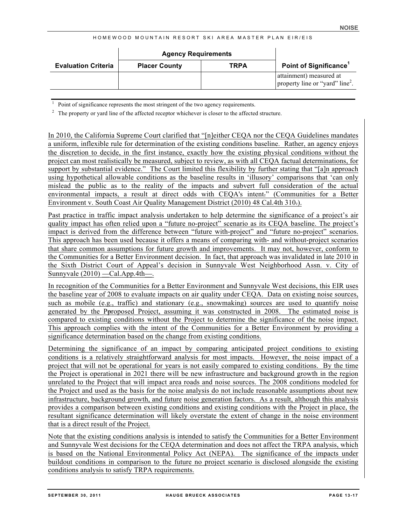|                            | <b>Agency Requirements</b> |             |                                                                        |
|----------------------------|----------------------------|-------------|------------------------------------------------------------------------|
| <b>Evaluation Criteria</b> | <b>Placer County</b>       | <b>TRPA</b> | <b>Point of Significance</b>                                           |
|                            |                            |             | attainment) measured at<br>property line or "yard" line <sup>2</sup> . |

<sup>1</sup> Point of significance represents the most stringent of the two agency requirements.

<sup>2</sup> The property or yard line of the affected receptor whichever is closer to the affected structure.

In 2010, the California Supreme Court clarified that "[n]either CEQA nor the CEQA Guidelines mandates a uniform, inflexible rule for determination of the existing conditions baseline. Rather, an agency enjoys the discretion to decide, in the first instance, exactly how the existing physical conditions without the project can most realistically be measured, subject to review, as with all CEQA factual determinations, for support by substantial evidence." The Court limited this flexibility by further stating that "[a]n approach using hypothetical allowable conditions as the baseline results in 'illusory' comparisons that 'can only mislead the public as to the reality of the impacts and subvert full consideration of the actual environmental impacts, a result at direct odds with CEQA's intent." (Communities for a Better Environment v. South Coast Air Quality Management District (2010) 48 Cal.4th 310.).

Past practice in traffic impact analysis undertaken to help determine the significance of a project's air quality impact has often relied upon a "future no-project" scenario as its CEQA baseline. The project's impact is derived from the difference between "future with-project" and "future no-project" scenarios. This approach has been used because it offers a means of comparing with- and without-project scenarios that share common assumptions for future growth and improvements. It may not, however, conform to the Communities for a Better Environment decision. In fact, that approach was invalidated in late 2010 in the Sixth District Court of Appeal's decision in Sunnyvale West Neighborhood Assn. v. City of Sunnyvale  $(2010)$  —Cal.App.4th—.

In recognition of the Communities for a Better Environment and Sunnyvale West decisions, this EIR uses the baseline year of 2008 to evaluate impacts on air quality under CEQA. Data on existing noise sources, such as mobile (e.g., traffic) and stationary (e.g., snowmaking) sources are used to quantify noise generated by the Pproposed Project, assuming it was constructed in 2008. The estimated noise is compared to existing conditions without the Project to determine the significance of the noise impact. This approach complies with the intent of the Communities for a Better Environment by providing a significance determination based on the change from existing conditions.

Determining the significance of an impact by comparing anticipated project conditions to existing conditions is a relatively straightforward analysis for most impacts. However, the noise impact of a project that will not be operational for years is not easily compared to existing conditions. By the time the Project is operational in 2021 there will be new infrastructure and background growth in the region unrelated to the Project that will impact area roads and noise sources. The 2008 conditions modeled for the Project and used as the basis for the noise analysis do not include reasonable assumptions about new infrastructure, background growth, and future noise generation factors. As a result, although this analysis provides a comparison between existing conditions and existing conditions with the Project in place, the resultant significance determination will likely overstate the extent of change in the noise environment that is a direct result of the Project.

Note that the existing conditions analysis is intended to satisfy the Communities for a Better Environment and Sunnyvale West decisions for the CEQA determination and does not affect the TRPA analysis, which is based on the National Environmental Policy Act (NEPA). The significance of the impacts under buildout conditions in comparison to the future no project scenario is disclosed alongside the existing conditions analysis to satisfy TRPA requirements.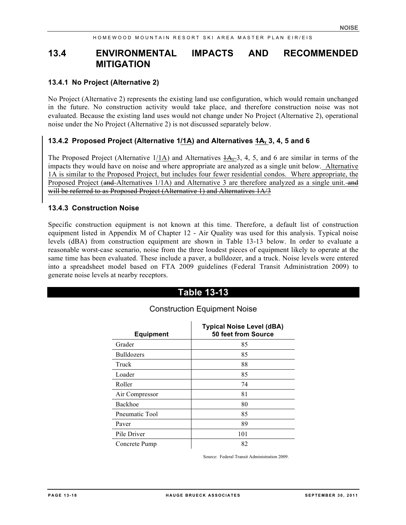# **13.4 ENVIRONMENTAL IMPACTS AND RECOMMENDED MITIGATION**

#### **13.4.1 No Project (Alternative 2)**

No Project (Alternative 2) represents the existing land use configuration, which would remain unchanged in the future. No construction activity would take place, and therefore construction noise was not evaluated. Because the existing land uses would not change under No Project (Alternative 2), operational noise under the No Project (Alternative 2) is not discussed separately below.

## **13.4.2 Proposed Project (Alternative 1/1A) and Alternatives 1A, 3, 4, 5 and 6**

The Proposed Project (Alternative  $1/1$ A) and Alternatives  $1/4$ , 3, 4, 5, and 6 are similar in terms of the impacts they would have on noise and where appropriate are analyzed as a single unit below. Alternative 1A is similar to the Proposed Project, but includes four fewer residential condos. Where appropriate, the Proposed Project (and Alternatives 1/1A) and Alternative 3 are therefore analyzed as a single unit. and will be referred to as Proposed Project (Alternative 1) and Alternatives  $1A/3$ 

#### **13.4.3 Construction Noise**

Specific construction equipment is not known at this time. Therefore, a default list of construction equipment listed in Appendix M of Chapter 12 - Air Quality was used for this analysis. Typical noise levels (dBA) from construction equipment are shown in Table 13-13 below. In order to evaluate a reasonable worst-case scenario, noise from the three loudest pieces of equipment likely to operate at the same time has been evaluated. These include a paver, a bulldozer, and a truck. Noise levels were entered into a spreadsheet model based on FTA 2009 guidelines (Federal Transit Administration 2009) to generate noise levels at nearby receptors.

# **Table 13-13**

| <b>Equipment</b>  | Typical Noise Level (dBA)<br>50 feet from Source |
|-------------------|--------------------------------------------------|
| Grader            | 85                                               |
| <b>Bulldozers</b> | 85                                               |
| Truck             | 88                                               |
| Loader            | 85                                               |
| Roller            | 74                                               |
| Air Compressor    | 81                                               |
| Backhoe           | 80                                               |
| Pneumatic Tool    | 85                                               |
| Paver             | 89                                               |
| Pile Driver       | 101                                              |
| Concrete Pump     | 82                                               |

## Construction Equipment Noise

Source: Federal Transit Administration 2009.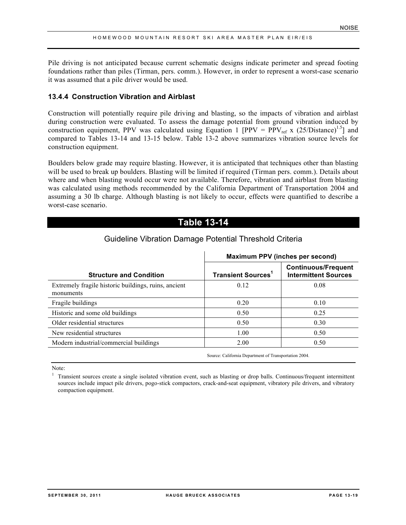Pile driving is not anticipated because current schematic designs indicate perimeter and spread footing foundations rather than piles (Tirman, pers. comm.). However, in order to represent a worst-case scenario it was assumed that a pile driver would be used.

## **13.4.4 Construction Vibration and Airblast**

Construction will potentially require pile driving and blasting, so the impacts of vibration and airblast during construction were evaluated. To assess the damage potential from ground vibration induced by construction equipment, PPV was calculated using Equation 1 [PPV = PPV<sub>ref</sub> x (25/Distance)<sup>1.5</sup>] and compared to Tables 13-14 and 13-15 below. Table 13-2 above summarizes vibration source levels for construction equipment.

Boulders below grade may require blasting. However, it is anticipated that techniques other than blasting will be used to break up boulders. Blasting will be limited if required (Tirman pers. comm.). Details about where and when blasting would occur were not available. Therefore, vibration and airblast from blasting was calculated using methods recommended by the California Department of Transportation 2004 and assuming a 30 lb charge. Although blasting is not likely to occur, effects were quantified to describe a worst-case scenario.

# **Table 13-14**

| Maximum PPV (inches per second)      |                                                           |  |  |  |  |
|--------------------------------------|-----------------------------------------------------------|--|--|--|--|
| <b>Transient Sources<sup>1</sup></b> | <b>Continuous/Frequent</b><br><b>Intermittent Sources</b> |  |  |  |  |
| 0.12                                 | 0.08                                                      |  |  |  |  |
| 0.20                                 | 0.10                                                      |  |  |  |  |
| 0.50                                 | 0.25                                                      |  |  |  |  |
| 0.50                                 | 0.30                                                      |  |  |  |  |
| 1.00                                 | 0.50                                                      |  |  |  |  |
| 2.00                                 | 0.50                                                      |  |  |  |  |
|                                      |                                                           |  |  |  |  |

## Guideline Vibration Damage Potential Threshold Criteria

Source: California Department of Transportation 2004.

Note:

 $<sup>1</sup>$  Transient sources create a single isolated vibration event, such as blasting or drop balls. Continuous/frequent intermittent</sup> sources include impact pile drivers, pogo-stick compactors, crack-and-seat equipment, vibratory pile drivers, and vibratory compaction equipment.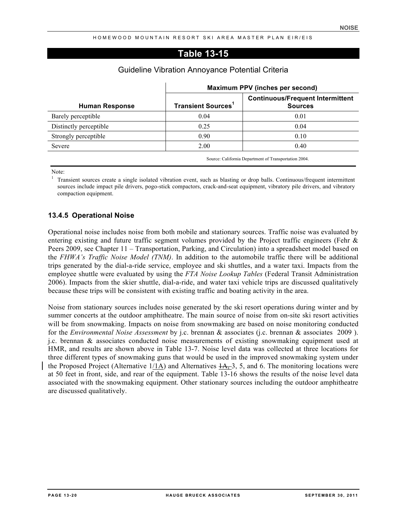## **Table 13-15**

|                        | Maximum PPV (inches per second)      |                                                           |  |  |  |  |
|------------------------|--------------------------------------|-----------------------------------------------------------|--|--|--|--|
| <b>Human Response</b>  | <b>Transient Sources<sup>1</sup></b> | <b>Continuous/Frequent Intermittent</b><br><b>Sources</b> |  |  |  |  |
| Barely perceptible     | 0.04                                 | 0.01                                                      |  |  |  |  |
| Distinctly perceptible | 0.25                                 | 0.04                                                      |  |  |  |  |
| Strongly perceptible   | 0.90                                 | 0.10                                                      |  |  |  |  |
| Severe                 | 2.00                                 | 0.40                                                      |  |  |  |  |

#### Guideline Vibration Annoyance Potential Criteria

Source: California Department of Transportation 2004.

Note:

<sup>1</sup> Transient sources create a single isolated vibration event, such as blasting or drop balls. Continuous/frequent intermittent sources include impact pile drivers, pogo-stick compactors, crack-and-seat equipment, vibratory pile drivers, and vibratory compaction equipment.

## **13.4.5 Operational Noise**

Operational noise includes noise from both mobile and stationary sources. Traffic noise was evaluated by entering existing and future traffic segment volumes provided by the Project traffic engineers (Fehr & Peers 2009, see Chapter 11 – Transportation, Parking, and Circulation) into a spreadsheet model based on the *FHWA's Traffic Noise Model (TNM)*. In addition to the automobile traffic there will be additional trips generated by the dial-a-ride service, employee and ski shuttles, and a water taxi. Impacts from the employee shuttle were evaluated by using the *FTA Noise Lookup Tables* (Federal Transit Administration 2006). Impacts from the skier shuttle, dial-a-ride, and water taxi vehicle trips are discussed qualitatively because these trips will be consistent with existing traffic and boating activity in the area.

Noise from stationary sources includes noise generated by the ski resort operations during winter and by summer concerts at the outdoor amphitheatre. The main source of noise from on-site ski resort activities will be from snowmaking. Impacts on noise from snowmaking are based on noise monitoring conducted for the *Environmental Noise Assessment* by j.c. brennan & associates (j.c. brennan & associates 2009 ). j.c. brennan & associates conducted noise measurements of existing snowmaking equipment used at HMR, and results are shown above in Table 13-7. Noise level data was collected at three locations for three different types of snowmaking guns that would be used in the improved snowmaking system under the Proposed Project (Alternative  $1/1$ A) and Alternatives  $1/4$ , 3, 5, and 6. The monitoring locations were at 50 feet in front, side, and rear of the equipment. Table 13-16 shows the results of the noise level data associated with the snowmaking equipment. Other stationary sources including the outdoor amphitheatre are discussed qualitatively.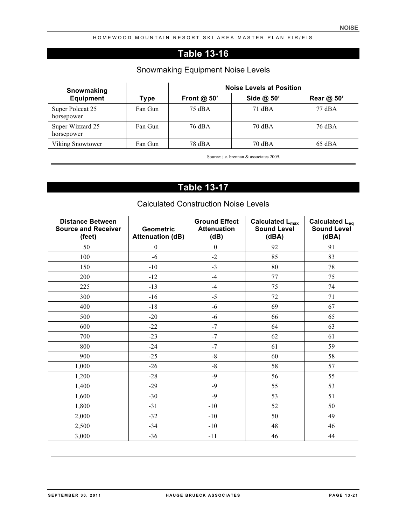# **Table 13-16**

# Snowmaking Equipment Noise Levels

| Snowmaking                     |         |               | <b>Noise Levels at Position</b> |                  |
|--------------------------------|---------|---------------|---------------------------------|------------------|
| <b>Equipment</b>               | Type    | Front $@$ 50' | Side @ 50'                      | Rear @ 50'       |
| Super Polecat 25<br>horsepower | Fan Gun | 75 dBA        | 71 dBA                          | $77 \text{ dBA}$ |
| Super Wizzard 25<br>horsepower | Fan Gun | 76 dBA        | 70 dBA                          | 76 dBA           |
| Viking Snowtower               | Fan Gun | 78 dBA        | 70 dBA                          | $65$ dBA         |

Source: j.c. brennan & associates 2009.

# **Table 13-17**

| <b>Distance Between</b><br><b>Source and Receiver</b><br>(feet) | <b>Geometric</b><br><b>Attenuation (dB)</b> | <b>Ground Effect</b><br><b>Attenuation</b><br>(dB) | <b>Calculated L<sub>max</sub></b><br><b>Sound Level</b><br>(dBA) | <b>Calculated Leq</b><br><b>Sound Level</b><br>(dBA) |
|-----------------------------------------------------------------|---------------------------------------------|----------------------------------------------------|------------------------------------------------------------------|------------------------------------------------------|
| 50                                                              | $\boldsymbol{0}$                            | $\boldsymbol{0}$                                   | 92                                                               | 91                                                   |
| 100                                                             | $-6$                                        | $-2$                                               | 85                                                               | 83                                                   |
| 150                                                             | $-10$                                       | $-3$                                               | 80                                                               | 78                                                   |
| 200                                                             | $-12$                                       | $-4$                                               | 77                                                               | 75                                                   |
| 225                                                             | $-13$                                       | $-4$                                               | 75                                                               | 74                                                   |
| 300                                                             | $-16$                                       | $-5$                                               | 72                                                               | 71                                                   |
| 400                                                             | $-18$                                       | $-6$                                               | 69                                                               | 67                                                   |
| 500                                                             | $-20$                                       | $-6$                                               | 66                                                               | 65                                                   |
| 600                                                             | $-22$                                       | $-7$                                               | 64                                                               | 63                                                   |
| 700                                                             | $-23$                                       | $-7$                                               | 62                                                               | 61                                                   |
| 800                                                             | $-24$                                       | $-7$                                               | 61                                                               | 59                                                   |
| 900                                                             | $-25$                                       | $-8$                                               | 60                                                               | 58                                                   |
| 1,000                                                           | $-26$                                       | $-8$                                               | 58                                                               | 57                                                   |
| 1,200                                                           | $-28$                                       | $-9$                                               | 56                                                               | 55                                                   |
| 1,400                                                           | $-29$                                       | $-9$                                               | 55                                                               | 53                                                   |
| 1,600                                                           | $-30$                                       | $-9$                                               | 53                                                               | 51                                                   |
| 1,800                                                           | $-31$                                       | $-10$                                              | 52                                                               | 50                                                   |
| 2,000                                                           | $-32$                                       | $-10$                                              | 50                                                               | 49                                                   |
| 2,500                                                           | $-34$                                       | $-10$                                              | 48                                                               | 46                                                   |
| 3,000                                                           | $-36$                                       | $-11$                                              | 46                                                               | 44                                                   |

# Calculated Construction Noise Levels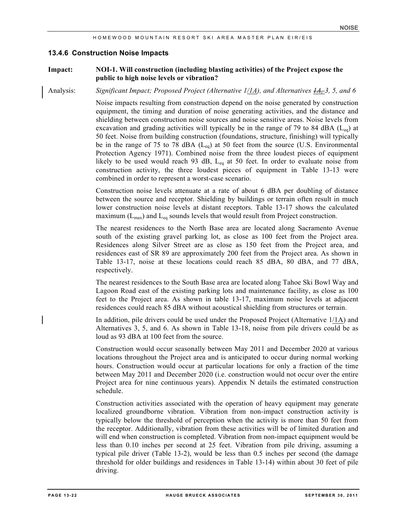#### **13.4.6 Construction Noise Impacts**

#### **Impact: NOI-1. Will construction (including blasting activities) of the Project expose the public to high noise levels or vibration?**

Analysis: *Significant Impact; Proposed Project (Alternative 1/1A), and Alternatives 1A, 3, 5, and 6*

Noise impacts resulting from construction depend on the noise generated by construction equipment, the timing and duration of noise generating activities, and the distance and shielding between construction noise sources and noise sensitive areas. Noise levels from excavation and grading activities will typically be in the range of 79 to 84 dBA ( $L_{eq}$ ) at 50 feet. Noise from building construction (foundations, structure, finishing) will typically be in the range of 75 to 78 dBA ( $L_{eq}$ ) at 50 feet from the source (U.S. Environmental Protection Agency 1971). Combined noise from the three loudest pieces of equipment likely to be used would reach 93 dB,  $L_{eq}$  at 50 feet. In order to evaluate noise from construction activity, the three loudest pieces of equipment in Table 13-13 were combined in order to represent a worst-case scenario.

Construction noise levels attenuate at a rate of about 6 dBA per doubling of distance between the source and receptor. Shielding by buildings or terrain often result in much lower construction noise levels at distant receptors. Table 13-17 shows the calculated maximum  $(L_{\text{max}})$  and  $L_{\text{eq}}$  sounds levels that would result from Project construction.

The nearest residences to the North Base area are located along Sacramento Avenue south of the existing gravel parking lot, as close as 100 feet from the Project area. Residences along Silver Street are as close as 150 feet from the Project area, and residences east of SR 89 are approximately 200 feet from the Project area. As shown in Table 13-17, noise at these locations could reach 85 dBA, 80 dBA, and 77 dBA, respectively.

The nearest residences to the South Base area are located along Tahoe Ski Bowl Way and Lagoon Road east of the existing parking lots and maintenance facility, as close as 100 feet to the Project area. As shown in table 13-17, maximum noise levels at adjacent residences could reach 85 dBA without acoustical shielding from structures or terrain.

In addition, pile drivers could be used under the Proposed Project (Alternative 1/1A) and Alternatives 3, 5, and 6. As shown in Table 13-18, noise from pile drivers could be as loud as 93 dBA at 100 feet from the source.

Construction would occur seasonally between May 2011 and December 2020 at various locations throughout the Project area and is anticipated to occur during normal working hours. Construction would occur at particular locations for only a fraction of the time between May 2011 and December 2020 (i.e. construction would not occur over the entire Project area for nine continuous years). Appendix N details the estimated construction schedule.

Construction activities associated with the operation of heavy equipment may generate localized groundborne vibration. Vibration from non-impact construction activity is typically below the threshold of perception when the activity is more than 50 feet from the receptor. Additionally, vibration from these activities will be of limited duration and will end when construction is completed. Vibration from non-impact equipment would be less than 0.10 inches per second at 25 feet. Vibration from pile driving, assuming a typical pile driver (Table 13-2), would be less than 0.5 inches per second (the damage threshold for older buildings and residences in Table 13-14) within about 30 feet of pile driving.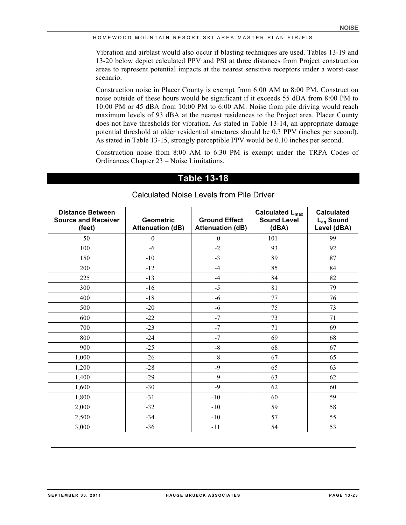Vibration and airblast would also occur if blasting techniques are used. Tables 13-19 and 13-20 below depict calculated PPV and PSI at three distances from Project construction areas to represent potential impacts at the nearest sensitive receptors under a worst-case scenario.

Construction noise in Placer County is exempt from 6:00 AM to 8:00 PM. Construction noise outside of these hours would be significant if it exceeds 55 dBA from 8:00 PM to 10:00 PM or 45 dBA from 10:00 PM to 6:00 AM. Noise from pile driving would reach maximum levels of 93 dBA at the nearest residences to the Project area. Placer County does not have thresholds for vibration. As stated in Table 13-14, an appropriate damage potential threshold at older residential structures should be 0.3 PPV (inches per second). As stated in Table 13-15, strongly perceptible PPV would be 0.10 inches per second.

Construction noise from 8:00 AM to 6:30 PM is exempt under the TRPA Codes of Ordinances Chapter 23 – Noise Limitations.

## **Table 13-18**

| <b>Distance Between</b><br><b>Source and Receiver</b><br>(feet) | <b>Geometric</b><br><b>Attenuation (dB)</b> | <b>Ground Effect</b><br><b>Attenuation (dB)</b> | Calculated L <sub>max</sub><br><b>Sound Level</b><br>(dBA) | <b>Calculated</b><br>L <sub>eq</sub> Sound<br>Level (dBA) |
|-----------------------------------------------------------------|---------------------------------------------|-------------------------------------------------|------------------------------------------------------------|-----------------------------------------------------------|
| 50                                                              | $\boldsymbol{0}$                            | $\boldsymbol{0}$                                | 101                                                        | 99                                                        |
| 100                                                             | $-6$                                        | $-2$                                            | 93                                                         | 92                                                        |
| 150                                                             | $-10$                                       | $-3$                                            | 89                                                         | 87                                                        |
| 200                                                             | $-12$                                       | $-4$                                            | 85                                                         | 84                                                        |
| 225                                                             | $-13$                                       | $-4$                                            | 84                                                         | 82                                                        |
| 300                                                             | $-16$                                       | $-5$                                            | 81                                                         | 79                                                        |
| 400                                                             | $-18$                                       | $-6$                                            | 77                                                         | 76                                                        |
| 500                                                             | $-20$                                       | $-6$                                            | 75                                                         | 73                                                        |
| 600                                                             | $-22$                                       | $-7$                                            | 73                                                         | 71                                                        |
| 700                                                             | $-23$                                       | $-7$                                            | 71                                                         | 69                                                        |
| 800                                                             | $-24$                                       | $-7$                                            | 69                                                         | 68                                                        |
| 900                                                             | $-25$                                       | $-8$                                            | 68                                                         | 67                                                        |
| 1,000                                                           | $-26$                                       | $\mbox{-}8$                                     | 67                                                         | 65                                                        |
| 1,200                                                           | $-28$                                       | $-9$                                            | 65                                                         | 63                                                        |
| 1,400                                                           | $-29$                                       | $-9$                                            | 63                                                         | 62                                                        |
| 1,600                                                           | $-30$                                       | $-9$                                            | 62                                                         | 60                                                        |
| 1,800                                                           | $-31$                                       | $-10$                                           | 60                                                         | 59                                                        |
| 2,000                                                           | $-32$                                       | $-10$                                           | 59                                                         | 58                                                        |
| 2,500                                                           | $-34$                                       | $-10$                                           | 57                                                         | 55                                                        |
| 3,000                                                           | $-36$                                       | $-11$                                           | 54                                                         | 53                                                        |

## Calculated Noise Levels from Pile Driver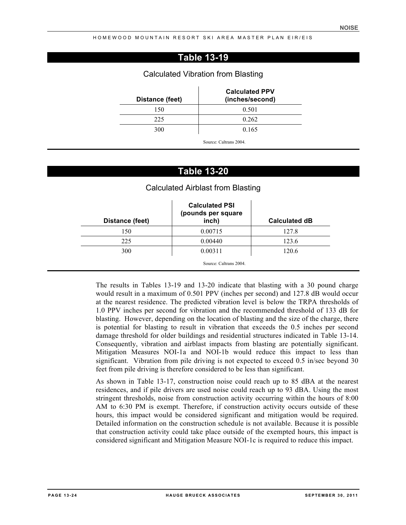# **Table 13-19**

#### Calculated Vibration from Blasting

| <b>Calculated PPV</b><br>(inches/second) | Distance (feet) |
|------------------------------------------|-----------------|
| 0.501                                    | 150             |
| 0.262                                    | 225             |
| 0.165                                    | 300             |
| Source: Caltrans 2004.                   |                 |

## **Table 13-20**

## Calculated Airblast from Blasting

| Distance (feet) | <b>Calculated PSI</b><br>(pounds per square<br>inch) | <b>Calculated dB</b> |
|-----------------|------------------------------------------------------|----------------------|
| 150             | 0.00715                                              | 127.8                |
| 225             | 0.00440                                              | 123.6                |
| 300             | 0.00311                                              | 120.6                |

The results in Tables 13-19 and 13-20 indicate that blasting with a 30 pound charge would result in a maximum of 0.501 PPV (inches per second) and 127.8 dB would occur at the nearest residence. The predicted vibration level is below the TRPA thresholds of 1.0 PPV inches per second for vibration and the recommended threshold of 133 dB for blasting. However, depending on the location of blasting and the size of the charge, there is potential for blasting to result in vibration that exceeds the 0.5 inches per second damage threshold for older buildings and residential structures indicated in Table 13-14. Consequently, vibration and airblast impacts from blasting are potentially significant. Mitigation Measures NOI-1a and NOI-1b would reduce this impact to less than significant. Vibration from pile driving is not expected to exceed 0.5 in/sec beyond 30 feet from pile driving is therefore considered to be less than significant.

As shown in Table 13-17, construction noise could reach up to 85 dBA at the nearest residences, and if pile drivers are used noise could reach up to 93 dBA. Using the most stringent thresholds, noise from construction activity occurring within the hours of 8:00 AM to 6:30 PM is exempt. Therefore, if construction activity occurs outside of these hours, this impact would be considered significant and mitigation would be required. Detailed information on the construction schedule is not available. Because it is possible that construction activity could take place outside of the exempted hours, this impact is considered significant and Mitigation Measure NOI-1c is required to reduce this impact.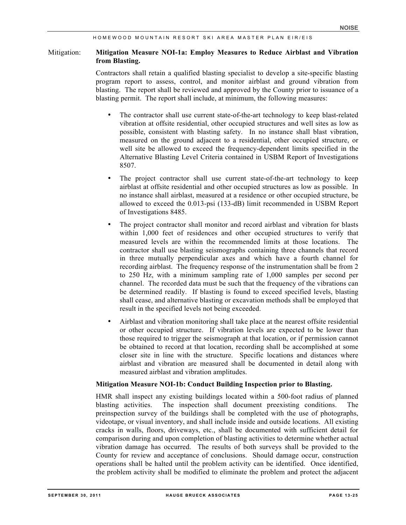#### Mitigation: **Mitigation Measure NOI-1a: Employ Measures to Reduce Airblast and Vibration from Blasting.**

Contractors shall retain a qualified blasting specialist to develop a site-specific blasting program report to assess, control, and monitor airblast and ground vibration from blasting. The report shall be reviewed and approved by the County prior to issuance of a blasting permit. The report shall include, at minimum, the following measures:

- The contractor shall use current state-of-the-art technology to keep blast-related vibration at offsite residential, other occupied structures and well sites as low as possible, consistent with blasting safety. In no instance shall blast vibration, measured on the ground adjacent to a residential, other occupied structure, or well site be allowed to exceed the frequency-dependent limits specified in the Alternative Blasting Level Criteria contained in USBM Report of Investigations 8507.
- The project contractor shall use current state-of-the-art technology to keep airblast at offsite residential and other occupied structures as low as possible. In no instance shall airblast, measured at a residence or other occupied structure, be allowed to exceed the 0.013-psi (133-dB) limit recommended in USBM Report of Investigations 8485.
- The project contractor shall monitor and record airblast and vibration for blasts within 1,000 feet of residences and other occupied structures to verify that measured levels are within the recommended limits at those locations. The contractor shall use blasting seismographs containing three channels that record in three mutually perpendicular axes and which have a fourth channel for recording airblast. The frequency response of the instrumentation shall be from 2 to 250 Hz, with a minimum sampling rate of 1,000 samples per second per channel. The recorded data must be such that the frequency of the vibrations can be determined readily. If blasting is found to exceed specified levels, blasting shall cease, and alternative blasting or excavation methods shall be employed that result in the specified levels not being exceeded.
- Airblast and vibration monitoring shall take place at the nearest offsite residential or other occupied structure. If vibration levels are expected to be lower than those required to trigger the seismograph at that location, or if permission cannot be obtained to record at that location, recording shall be accomplished at some closer site in line with the structure. Specific locations and distances where airblast and vibration are measured shall be documented in detail along with measured airblast and vibration amplitudes.

#### **Mitigation Measure NOI-1b: Conduct Building Inspection prior to Blasting.**

HMR shall inspect any existing buildings located within a 500-foot radius of planned blasting activities. The inspection shall document preexisting conditions. The preinspection survey of the buildings shall be completed with the use of photographs, videotape, or visual inventory, and shall include inside and outside locations. All existing cracks in walls, floors, driveways, etc., shall be documented with sufficient detail for comparison during and upon completion of blasting activities to determine whether actual vibration damage has occurred. The results of both surveys shall be provided to the County for review and acceptance of conclusions. Should damage occur, construction operations shall be halted until the problem activity can be identified. Once identified, the problem activity shall be modified to eliminate the problem and protect the adjacent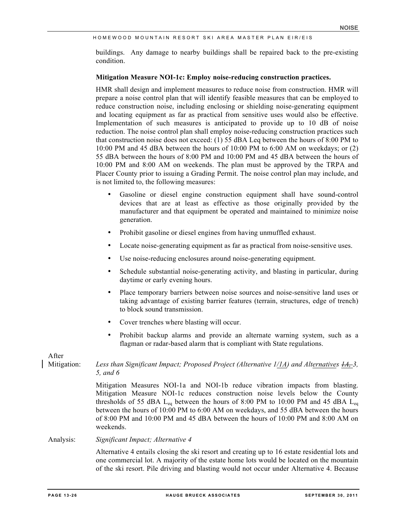buildings. Any damage to nearby buildings shall be repaired back to the pre-existing condition.

#### **Mitigation Measure NOI-1c: Employ noise-reducing construction practices.**

HMR shall design and implement measures to reduce noise from construction. HMR will prepare a noise control plan that will identify feasible measures that can be employed to reduce construction noise, including enclosing or shielding noise-generating equipment and locating equipment as far as practical from sensitive uses would also be effective. Implementation of such measures is anticipated to provide up to 10 dB of noise reduction. The noise control plan shall employ noise-reducing construction practices such that construction noise does not exceed: (1) 55 dBA Leq between the hours of 8:00 PM to 10:00 PM and 45 dBA between the hours of 10:00 PM to 6:00 AM on weekdays; or (2) 55 dBA between the hours of 8:00 PM and 10:00 PM and 45 dBA between the hours of 10:00 PM and 8:00 AM on weekends. The plan must be approved by the TRPA and Placer County prior to issuing a Grading Permit. The noise control plan may include, and is not limited to, the following measures:

- Gasoline or diesel engine construction equipment shall have sound-control devices that are at least as effective as those originally provided by the manufacturer and that equipment be operated and maintained to minimize noise generation.
- Prohibit gasoline or diesel engines from having unmuffled exhaust.
- Locate noise-generating equipment as far as practical from noise-sensitive uses.
- Use noise-reducing enclosures around noise-generating equipment.
- Schedule substantial noise-generating activity, and blasting in particular, during daytime or early evening hours.
- Place temporary barriers between noise sources and noise-sensitive land uses or taking advantage of existing barrier features (terrain, structures, edge of trench) to block sound transmission.
- Cover trenches where blasting will occur.
- Prohibit backup alarms and provide an alternate warning system, such as a flagman or radar-based alarm that is compliant with State regulations.

After

## Mitigation: *Less than Significant Impact; Proposed Project (Alternative 1/1A) and Alternatives 1A, 3, 5, and 6*

Mitigation Measures NOI-1a and NOI-1b reduce vibration impacts from blasting. Mitigation Measure NOI-1c reduces construction noise levels below the County thresholds of 55 dBA  $L_{eq}$  between the hours of 8:00 PM to 10:00 PM and 45 dBA  $L_{eq}$ between the hours of 10:00 PM to 6:00 AM on weekdays, and 55 dBA between the hours of 8:00 PM and 10:00 PM and 45 dBA between the hours of 10:00 PM and 8:00 AM on weekends.

#### Analysis: *Significant Impact; Alternative 4*

Alternative 4 entails closing the ski resort and creating up to 16 estate residential lots and one commercial lot. A majority of the estate home lots would be located on the mountain of the ski resort. Pile driving and blasting would not occur under Alternative 4. Because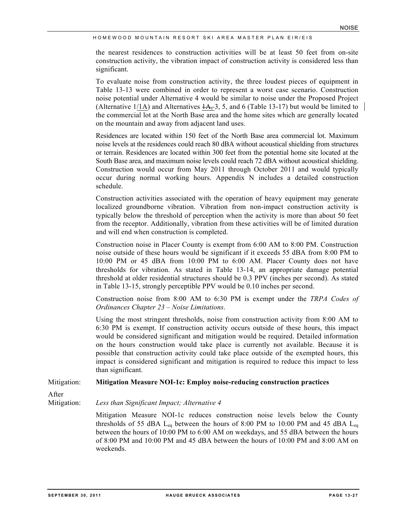the nearest residences to construction activities will be at least 50 feet from on-site construction activity, the vibration impact of construction activity is considered less than significant.

To evaluate noise from construction activity, the three loudest pieces of equipment in Table 13-13 were combined in order to represent a worst case scenario. Construction noise potential under Alternative 4 would be similar to noise under the Proposed Project (Alternative  $1/1$ A) and Alternatives  $1/4$ , 3, 5, and 6 (Table 13-17) but would be limited to the commercial lot at the North Base area and the home sites which are generally located on the mountain and away from adjacent land uses.

Residences are located within 150 feet of the North Base area commercial lot. Maximum noise levels at the residences could reach 80 dBA without acoustical shielding from structures or terrain. Residences are located within 300 feet from the potential home site located at the South Base area, and maximum noise levels could reach 72 dBA without acoustical shielding. Construction would occur from May 2011 through October 2011 and would typically occur during normal working hours. Appendix N includes a detailed construction schedule.

Construction activities associated with the operation of heavy equipment may generate localized groundborne vibration. Vibration from non-impact construction activity is typically below the threshold of perception when the activity is more than about 50 feet from the receptor. Additionally, vibration from these activities will be of limited duration and will end when construction is completed.

Construction noise in Placer County is exempt from 6:00 AM to 8:00 PM. Construction noise outside of these hours would be significant if it exceeds 55 dBA from 8:00 PM to 10:00 PM or 45 dBA from 10:00 PM to 6:00 AM. Placer County does not have thresholds for vibration. As stated in Table 13-14, an appropriate damage potential threshold at older residential structures should be 0.3 PPV (inches per second). As stated in Table 13-15, strongly perceptible PPV would be 0.10 inches per second.

Construction noise from 8:00 AM to 6:30 PM is exempt under the *TRPA Codes of Ordinances Chapter 23 – Noise Limitations*.

Using the most stringent thresholds, noise from construction activity from 8:00 AM to 6:30 PM is exempt. If construction activity occurs outside of these hours, this impact would be considered significant and mitigation would be required. Detailed information on the hours construction would take place is currently not available. Because it is possible that construction activity could take place outside of the exempted hours, this impact is considered significant and mitigation is required to reduce this impact to less than significant.

#### Mitigation: **Mitigation Measure NOI-1c: Employ noise-reducing construction practices**

After

Mitigation: *Less than Significant Impact; Alternative 4*

Mitigation Measure NOI-1c reduces construction noise levels below the County thresholds of 55 dBA  $L_{eq}$  between the hours of 8:00 PM to 10:00 PM and 45 dBA  $L_{eq}$ between the hours of 10:00 PM to 6:00 AM on weekdays, and 55 dBA between the hours of 8:00 PM and 10:00 PM and 45 dBA between the hours of 10:00 PM and 8:00 AM on weekends.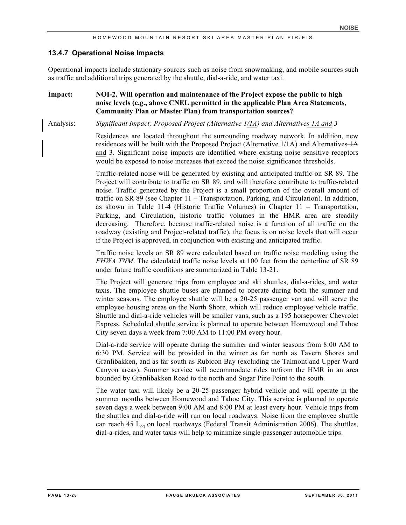#### **13.4.7 Operational Noise Impacts**

Operational impacts include stationary sources such as noise from snowmaking, and mobile sources such as traffic and additional trips generated by the shuttle, dial-a-ride, and water taxi.

#### **Impact: NOI-2. Will operation and maintenance of the Project expose the public to high noise levels (e.g., above CNEL permitted in the applicable Plan Area Statements, Community Plan or Master Plan) from transportation sources?**

Analysis: *Significant Impact; Proposed Project (Alternative 1/1A) and Alternatives 1A and 3* 

Residences are located throughout the surrounding roadway network. In addition, new residences will be built with the Proposed Project (Alternative  $1/1$ A) and Alternatives  $1/4$ and 3. Significant noise impacts are identified where existing noise sensitive receptors would be exposed to noise increases that exceed the noise significance thresholds.

Traffic-related noise will be generated by existing and anticipated traffic on SR 89. The Project will contribute to traffic on SR 89, and will therefore contribute to traffic-related noise. Traffic generated by the Project is a small proportion of the overall amount of traffic on SR 89 (see Chapter 11 – Transportation, Parking, and Circulation). In addition, as shown in Table 11-4 (Historic Traffic Volumes) in Chapter 11 – Transportation, Parking, and Circulation, historic traffic volumes in the HMR area are steadily decreasing. Therefore, because traffic-related noise is a function of all traffic on the roadway (existing and Project-related traffic), the focus is on noise levels that will occur if the Project is approved, in conjunction with existing and anticipated traffic.

Traffic noise levels on SR 89 were calculated based on traffic noise modeling using the *FHWA TNM*. The calculated traffic noise levels at 100 feet from the centerline of SR 89 under future traffic conditions are summarized in Table 13-21.

The Project will generate trips from employee and ski shuttles, dial-a-rides, and water taxis. The employee shuttle buses are planned to operate during both the summer and winter seasons. The employee shuttle will be a 20-25 passenger van and will serve the employee housing areas on the North Shore, which will reduce employee vehicle traffic. Shuttle and dial-a-ride vehicles will be smaller vans, such as a 195 horsepower Chevrolet Express. Scheduled shuttle service is planned to operate between Homewood and Tahoe City seven days a week from 7:00 AM to 11:00 PM every hour.

Dial-a-ride service will operate during the summer and winter seasons from 8:00 AM to 6:30 PM. Service will be provided in the winter as far north as Tavern Shores and Granlibakken, and as far south as Rubicon Bay (excluding the Talmont and Upper Ward Canyon areas). Summer service will accommodate rides to/from the HMR in an area bounded by Granlibakken Road to the north and Sugar Pine Point to the south.

The water taxi will likely be a 20-25 passenger hybrid vehicle and will operate in the summer months between Homewood and Tahoe City. This service is planned to operate seven days a week between 9:00 AM and 8:00 PM at least every hour. Vehicle trips from the shuttles and dial-a-ride will run on local roadways. Noise from the employee shuttle can reach 45  $L_{eq}$  on local roadways (Federal Transit Administration 2006). The shuttles, dial-a-rides, and water taxis will help to minimize single-passenger automobile trips.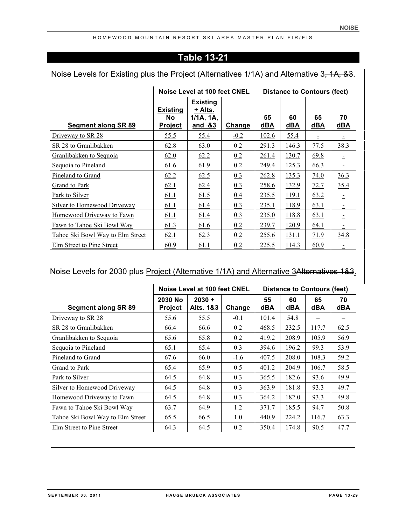# **Table 13-21**

# Noise Levels for Existing plus the Project (Alternatives 1/1A) and Alternative 3, 1A, &3.

|                                  | Noise Level at 100 feet CNEL            |                                                       |        | <b>Distance to Contours (feet)</b> |           |           |                  |
|----------------------------------|-----------------------------------------|-------------------------------------------------------|--------|------------------------------------|-----------|-----------|------------------|
| Segment along SR 89              | <b>Existing</b><br>No<br><b>Project</b> | <b>Existing</b><br>+ Alts.<br>1/1A, 1A,<br>and $-8.3$ | Change | 55<br>dBA                          | 60<br>dBA | 65<br>dBA | 70<br><b>dBA</b> |
| Driveway to SR 28                | 55.5                                    | 55.4                                                  | $-0.2$ | 102.6                              | 55.4      |           |                  |
| SR 28 to Granlibakken            | 62.8                                    | 63.0                                                  | 0.2    | 291.3                              | 146.3     | 77.5      | 38.3             |
| Granlibakken to Sequoia          | 62.0                                    | 62.2                                                  | 0.2    | 261.4                              | 130.7     | 69.8      |                  |
| Sequoia to Pineland              | 61.6                                    | 61.9                                                  | 0.2    | 249.4                              | 125.3     | 66.3      |                  |
| Pineland to Grand                | 62.2                                    | 62.5                                                  | 0.3    | 262.8                              | 135.3     | 74.0      | 36.3             |
| Grand to Park                    | 62.1                                    | 62.4                                                  | 0.3    | 258.6                              | 132.9     | 72.7      | 35.4             |
| Park to Silver                   | 61.1                                    | 61.5                                                  | 0.4    | 235.5                              | 119.1     | 63.2      |                  |
| Silver to Homewood Driveway      | 61.1                                    | 61.4                                                  | 0.3    | 235.1                              | 118.9     | 63.1      |                  |
| Homewood Driveway to Fawn        | 61.1                                    | 61.4                                                  | 0.3    | 235.0                              | 118.8     | 63.1      |                  |
| Fawn to Tahoe Ski Bowl Way       | 61.3                                    | 61.6                                                  | 0.2    | 239.7                              | 120.9     | 64.1      |                  |
| Tahoe Ski Bowl Way to Elm Street | 62.1                                    | 62.3                                                  | 0.2    | 255.6                              | 131.1     | 71.9      | 34.8             |
| Elm Street to Pine Street        | 60.9                                    | 61.1                                                  | 0.2    | 225.5                              | 114.3     | 60.9      |                  |

# Noise Levels for 2030 plus Project (Alternative 1/1A) and Alternative 3Alternatives 1&3.

|                                  | Noise Level at 100 feet CNEL |                       |        | <b>Distance to Contours (feet)</b> |           |                              |                  |
|----------------------------------|------------------------------|-----------------------|--------|------------------------------------|-----------|------------------------------|------------------|
| <b>Segment along SR 89</b>       | 2030 No<br><b>Project</b>    | $2030 +$<br>Alts, 1&3 | Change | 55<br>dBA                          | 60<br>dBA | 65<br><b>dBA</b>             | 70<br><b>dBA</b> |
| Driveway to SR 28                | 55.6                         | 55.5                  | $-0.1$ | 101.4                              | 54.8      | $\qquad \qquad \blacksquare$ |                  |
| SR 28 to Granlibakken            | 66.4                         | 66.6                  | 0.2    | 468.5                              | 232.5     | 117.7                        | 62.5             |
| Granlibakken to Sequoia          | 65.6                         | 65.8                  | 0.2    | 419.2                              | 208.9     | 105.9                        | 56.9             |
| Sequoia to Pineland              | 65.1                         | 65.4                  | 0.3    | 394.6                              | 196.2     | 99.3                         | 53.9             |
| Pineland to Grand                | 67.6                         | 66.0                  | $-1.6$ | 407.5                              | 208.0     | 108.3                        | 59.2             |
| Grand to Park                    | 65.4                         | 65.9                  | 0.5    | 401.2                              | 204.9     | 106.7                        | 58.5             |
| Park to Silver                   | 64.5                         | 64.8                  | 0.3    | 365.5                              | 182.6     | 93.6                         | 49.9             |
| Silver to Homewood Driveway      | 64.5                         | 64.8                  | 0.3    | 363.9                              | 181.8     | 93.3                         | 49.7             |
| Homewood Driveway to Fawn        | 64.5                         | 64.8                  | 0.3    | 364.2                              | 182.0     | 93.3                         | 49.8             |
| Fawn to Tahoe Ski Bowl Way       | 63.7                         | 64.9                  | 1.2    | 371.7                              | 185.5     | 94.7                         | 50.8             |
| Tahoe Ski Bowl Way to Elm Street | 65.5                         | 66.5                  | 1.0    | 440.9                              | 224.2     | 116.7                        | 63.3             |
| Elm Street to Pine Street        | 64.3                         | 64.5                  | 0.2    | 350.4                              | 174.8     | 90.5                         | 47.7             |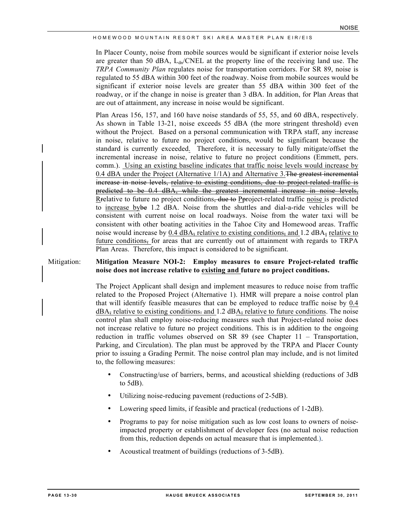In Placer County, noise from mobile sources would be significant if exterior noise levels are greater than 50 dBA,  $L_{dn}/CNEL$  at the property line of the receiving land use. The *TRPA Community Plan* regulates noise for transportation corridors. For SR 89, noise is regulated to 55 dBA within 300 feet of the roadway. Noise from mobile sources would be significant if exterior noise levels are greater than 55 dBA within 300 feet of the roadway, or if the change in noise is greater than 3 dBA. In addition, for Plan Areas that are out of attainment, any increase in noise would be significant.

Plan Areas 156, 157, and 160 have noise standards of 55, 55, and 60 dBA, respectively. As shown in Table 13-21, noise exceeds 55 dBA (the more stringent threshold) even without the Project. Based on a personal communication with TRPA staff, any increase in noise, relative to future no project conditions, would be significant because the standard is currently exceeded. Therefore, it is necessary to fully mitigate/offset the incremental increase in noise, relative to future no project conditions (Emmett, pers. comm.). Using an existing baseline indicates that traffic noise levels would increase by 0.4 dBA under the Project (Alternative  $1/1$ A) and Alternative 3. The greatest incremental increase in noise levels, relative to existing conditions, due to project-related traffic is predicted to be 0.4 dBA, while the greatest incremental increase in noise levels, Rrelative to future no project conditions, due to Pproject-related traffic noise is predicted to increase bybe 1.2 dBA. Noise from the shuttles and dial-a-ride vehicles will be consistent with current noise on local roadways. Noise from the water taxi will be consistent with other boating activities in the Tahoe City and Homewood areas. Traffic noise would increase by  $0.4$  dBA, relative to existing conditions, and  $1.2$  dBA, relative to future conditions, for areas that are currently out of attainment with regards to TRPA Plan Areas. Therefore, this impact is considered to be significant.

#### Mitigation: **Mitigation Measure NOI-2: Employ measures to ensure Project-related traffic noise does not increase relative to existing and future no project conditions.**

The Project Applicant shall design and implement measures to reduce noise from traffic related to the Proposed Project (Alternative 1). HMR will prepare a noise control plan that will identify feasible measures that can be employed to reduce traffic noise by 0.4  $dBA<sub>z</sub>$  relative to existing conditions. and 1.2  $dBA<sub>z</sub>$  relative to future conditions. The noise control plan shall employ noise-reducing measures such that Project-related noise does not increase relative to future no project conditions. This is in addition to the ongoing reduction in traffic volumes observed on SR 89 (see Chapter 11 – Transportation, Parking, and Circulation). The plan must be approved by the TRPA and Placer County prior to issuing a Grading Permit. The noise control plan may include, and is not limited to, the following measures:

- Constructing/use of barriers, berms, and acoustical shielding (reductions of 3dB to 5dB).
- Utilizing noise-reducing pavement (reductions of 2-5dB).
- Lowering speed limits, if feasible and practical (reductions of 1-2dB).
- Programs to pay for noise mitigation such as low cost loans to owners of noiseimpacted property or establishment of developer fees (no actual noise reduction from this, reduction depends on actual measure that is implemented.).
- Acoustical treatment of buildings (reductions of 3-5dB).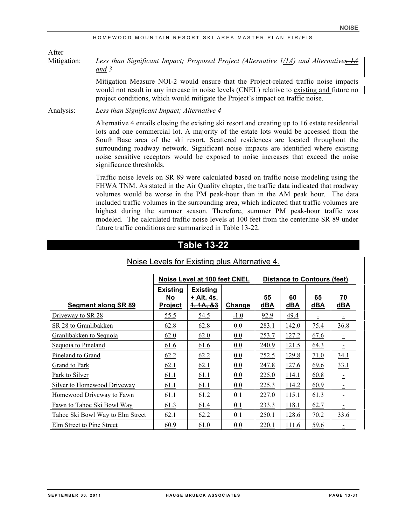After

Mitigation: *Less than Significant Impact; Proposed Project (Alternative 1/1A) and Alternatives 1A and 3*

> Mitigation Measure NOI-2 would ensure that the Project-related traffic noise impacts would not result in any increase in noise levels (CNEL) relative to existing and future no project conditions, which would mitigate the Project's impact on traffic noise.

Analysis: *Less than Significant Impact; Alternative 4*

Alternative 4 entails closing the existing ski resort and creating up to 16 estate residential lots and one commercial lot. A majority of the estate lots would be accessed from the South Base area of the ski resort. Scattered residences are located throughout the surrounding roadway network. Significant noise impacts are identified where existing noise sensitive receptors would be exposed to noise increases that exceed the noise significance thresholds.

Traffic noise levels on SR 89 were calculated based on traffic noise modeling using the FHWA TNM. As stated in the Air Quality chapter, the traffic data indicated that roadway volumes would be worse in the PM peak-hour than in the AM peak hour. The data included traffic volumes in the surrounding area, which indicated that traffic volumes are highest during the summer season. Therefore, summer PM peak-hour traffic was modeled. The calculated traffic noise levels at 100 feet from the centerline SR 89 under future traffic conditions are summarized in Table 13-22.

# **Table 13-22**

|                                  |                                         | Noise Level at 100 feet CNEL                           | <b>Distance to Contours (feet)</b> |           |           |           |                  |
|----------------------------------|-----------------------------------------|--------------------------------------------------------|------------------------------------|-----------|-----------|-----------|------------------|
| Segment along SR 89              | <b>Existing</b><br>No<br><b>Project</b> | <b>Existing</b><br>+ Alt. 4 <del>s.</del><br>1, 1A, 83 | Change                             | 55<br>dBA | 60<br>dBA | 65<br>dBA | 70<br><b>dBA</b> |
| Driveway to SR 28                | 55.5                                    | 54.5                                                   | $-1.0$                             | 92.9      | 49.4      |           |                  |
| SR 28 to Granlibakken            | 62.8                                    | 62.8                                                   | 0.0                                | 283.1     | 142.0     | 75.4      | 36.8             |
| Granlibakken to Sequoia          | 62.0                                    | 62.0                                                   | 0.0                                | 253.7     | 127.2     | 67.6      | $\equiv$         |
| Sequoia to Pineland              | 61.6                                    | 61.6                                                   | 0.0                                | 240.9     | 121.5     | 64.3      |                  |
| Pineland to Grand                | 62.2                                    | 62.2                                                   | 0.0                                | 252.5     | 129.8     | 71.0      | 34.1             |
| Grand to Park                    | 62.1                                    | 62.1                                                   | 0.0                                | 247.8     | 127.6     | 69.6      | 33.1             |
| Park to Silver                   | 61.1                                    | 61.1                                                   | 0.0                                | 225.0     | 114.1     | 60.8      | Ξ                |
| Silver to Homewood Driveway      | 61.1                                    | 61.1                                                   | 0.0                                | 225.3     | 114.2     | 60.9      |                  |
| Homewood Driveway to Fawn        | 61.1                                    | 61.2                                                   | 0.1                                | 227.0     | 115.1     | 61.3      |                  |
| Fawn to Tahoe Ski Bowl Way       | 61.3                                    | 61.4                                                   | 0.1                                | 233.3     | 118.1     | 62.7      |                  |
| Tahoe Ski Bowl Way to Elm Street | 62.1                                    | 62.2                                                   | 0.1                                | 250.1     | 128.6     | 70.2      | <u>33.6</u>      |
| Elm Street to Pine Street        | 60.9                                    | 61.0                                                   | 0.0                                | 220.1     | 111.6     | 59.6      |                  |

## Noise Levels for Existing plus Alternative 4.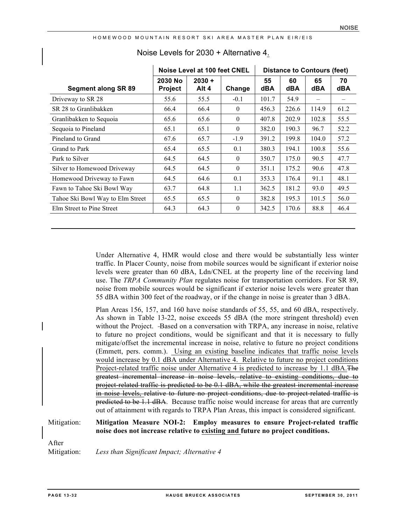|                                  |                           | Noise Level at 100 feet CNEL |                |           | <b>Distance to Contours (feet)</b> |           |           |  |
|----------------------------------|---------------------------|------------------------------|----------------|-----------|------------------------------------|-----------|-----------|--|
| <b>Segment along SR 89</b>       | 2030 No<br><b>Project</b> | $2030 +$<br>Alt 4            | Change         | 55<br>dBA | 60<br>dBA                          | 65<br>dBA | 70<br>dBA |  |
| Driveway to SR 28                | 55.6                      | 55.5                         | $-0.1$         | 101.7     | 54.9                               | $\equiv$  |           |  |
| SR 28 to Granlibakken            | 66.4                      | 66.4                         | $\theta$       | 456.3     | 226.6                              | 114.9     | 61.2      |  |
| Granlibakken to Sequoia          | 65.6                      | 65.6                         | $\theta$       | 407.8     | 202.9                              | 102.8     | 55.5      |  |
| Sequoia to Pineland              | 65.1                      | 65.1                         | $\mathbf{0}$   | 382.0     | 190.3                              | 96.7      | 52.2      |  |
| Pineland to Grand                | 67.6                      | 65.7                         | $-1.9$         | 391.2     | 199.8                              | 104.0     | 57.2      |  |
| Grand to Park                    | 65.4                      | 65.5                         | 0.1            | 380.3     | 194.1                              | 100.8     | 55.6      |  |
| Park to Silver                   | 64.5                      | 64.5                         | $\theta$       | 350.7     | 175.0                              | 90.5      | 47.7      |  |
| Silver to Homewood Driveway      | 64.5                      | 64.5                         | $\overline{0}$ | 351.1     | 175.2                              | 90.6      | 47.8      |  |
| Homewood Driveway to Fawn        | 64.5                      | 64.6                         | 0.1            | 353.3     | 176.4                              | 91.1      | 48.1      |  |
| Fawn to Tahoe Ski Bowl Way       | 63.7                      | 64.8                         | 1.1            | 362.5     | 181.2                              | 93.0      | 49.5      |  |
| Tahoe Ski Bowl Way to Elm Street | 65.5                      | 65.5                         | $\Omega$       | 382.8     | 195.3                              | 101.5     | 56.0      |  |
| Elm Street to Pine Street        | 64.3                      | 64.3                         | $\overline{0}$ | 342.5     | 170.6                              | 88.8      | 46.4      |  |

## Noise Levels for 2030 + Alternative 4.

Under Alternative 4, HMR would close and there would be substantially less winter traffic. In Placer County, noise from mobile sources would be significant if exterior noise levels were greater than 60 dBA, Ldn/CNEL at the property line of the receiving land use. The *TRPA Community Plan* regulates noise for transportation corridors. For SR 89, noise from mobile sources would be significant if exterior noise levels were greater than 55 dBA within 300 feet of the roadway, or if the change in noise is greater than 3 dBA.

Plan Areas 156, 157, and 160 have noise standards of 55, 55, and 60 dBA, respectively. As shown in Table 13-22, noise exceeds 55 dBA (the more stringent threshold) even without the Project. -Based on a conversation with TRPA, any increase in noise, relative to future no project conditions, would be significant and that it is necessary to fully mitigate/offset the incremental increase in noise, relative to future no project conditions (Emmett, pers. comm.). Using an existing baseline indicates that traffic noise levels would increase by 0.1 dBA under Alternative 4. Relative to future no project conditions Project-related traffic noise under Alternative 4 is predicted to increase by 1.1 dBA. The greatest incremental increase in noise levels, relative to existing conditions, due to project-related traffic is predicted to be 0.1 dBA, while the greatest incremental increase in noise levels, relative to future no project conditions, due to project-related traffic is predicted to be 1.1 dBA. Because traffic noise would increase for areas that are currently out of attainment with regards to TRPA Plan Areas, this impact is considered significant.

#### Mitigation: **Mitigation Measure NOI-2: Employ measures to ensure Project-related traffic noise does not increase relative to existing and future no project conditions.**

After

Mitigation: *Less than Significant Impact; Alternative 4*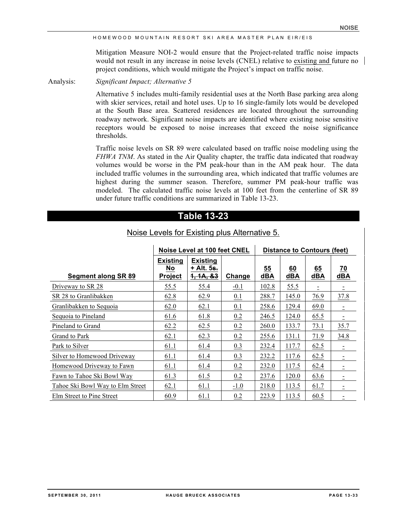Mitigation Measure NOI-2 would ensure that the Project-related traffic noise impacts would not result in any increase in noise levels (CNEL) relative to existing and future no project conditions, which would mitigate the Project's impact on traffic noise.

Analysis: *Significant Impact; Alternative 5* 

Alternative 5 includes multi-family residential uses at the North Base parking area along with skier services, retail and hotel uses. Up to 16 single-family lots would be developed at the South Base area. Scattered residences are located throughout the surrounding roadway network. Significant noise impacts are identified where existing noise sensitive receptors would be exposed to noise increases that exceed the noise significance thresholds.

Traffic noise levels on SR 89 were calculated based on traffic noise modeling using the *FHWA TNM*. As stated in the Air Quality chapter, the traffic data indicated that roadway volumes would be worse in the PM peak-hour than in the AM peak hour. The data included traffic volumes in the surrounding area, which indicated that traffic volumes are highest during the summer season. Therefore, summer PM peak-hour traffic was modeled. The calculated traffic noise levels at 100 feet from the centerline of SR 89 under future traffic conditions are summarized in Table 13-23.

# **Table 13-23**

| Noise Levels for Existing plus Alternative 5. |  |
|-----------------------------------------------|--|
|                                               |  |

|                                  | Noise Level at 100 feet CNEL            |                                            |        | <b>Distance to Contours (feet)</b> |           |           |           |  |
|----------------------------------|-----------------------------------------|--------------------------------------------|--------|------------------------------------|-----------|-----------|-----------|--|
| <b>Segment along SR 89</b>       | <b>Existing</b><br>No<br><b>Project</b> | <b>Existing</b><br>+ Alt. 5s.<br>1, 1A, 83 | Change | 55<br>dBA                          | 60<br>dBA | 65<br>dBA | 70<br>dBA |  |
| Driveway to SR 28                | 55.5                                    | 55.4                                       | $-0.1$ | 102.8                              | 55.5      |           | Ξ         |  |
| SR 28 to Granlibakken            | 62.8                                    | 62.9                                       | 0.1    | 288.7                              | 145.0     | 76.9      | 37.8      |  |
| Granlibakken to Sequoia          | 62.0                                    | 62.1                                       | 0.1    | 258.6                              | 129.4     | 69.0      |           |  |
| Sequoia to Pineland              | 61.6                                    | 61.8                                       | 0.2    | 246.5                              | 124.0     | 65.5      |           |  |
| Pineland to Grand                | 62.2                                    | 62.5                                       | 0.2    | 260.0                              | 133.7     | 73.1      | 35.7      |  |
| Grand to Park                    | 62.1                                    | 62.3                                       | 0.2    | 255.6                              | 131.1     | 71.9      | 34.8      |  |
| Park to Silver                   | 61.1                                    | 61.4                                       | 0.3    | 232.4                              | 117.7     | 62.5      | $\equiv$  |  |
| Silver to Homewood Driveway      | 61.1                                    | 61.4                                       | 0.3    | 232.2                              | 117.6     | 62.5      |           |  |
| Homewood Driveway to Fawn        | 61.1                                    | 61.4                                       | 0.2    | 232.0                              | 117.5     | 62.4      |           |  |
| Fawn to Tahoe Ski Bowl Way       | 61.3                                    | 61.5                                       | 0.2    | 237.6                              | 120.0     | 63.6      |           |  |
| Tahoe Ski Bowl Way to Elm Street | 62.1                                    | 61.1                                       | $-1.0$ | 218.0                              | 113.5     | 61.7      |           |  |
| Elm Street to Pine Street        | 60.9                                    | 61.1                                       | 0.2    | 223.9                              | 113.5     | 60.5      |           |  |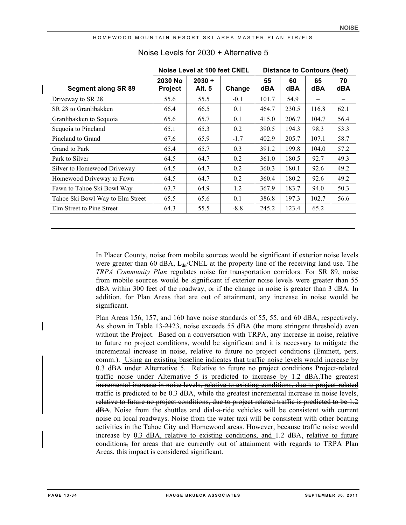| HOMEWOOD MOUNTAIN RESORT SKI AREA MASTER PLAN EIR/EIS |  |  |  |  |  |  |
|-------------------------------------------------------|--|--|--|--|--|--|
|-------------------------------------------------------|--|--|--|--|--|--|

|                                  | Noise Level at 100 feet CNEL |                    |        | <b>Distance to Contours (feet)</b> |           |           |                  |  |
|----------------------------------|------------------------------|--------------------|--------|------------------------------------|-----------|-----------|------------------|--|
| Segment along SR 89              | 2030 No<br><b>Project</b>    | $2030 +$<br>Alt. 5 | Change | 55<br>dBA                          | 60<br>dBA | 65<br>dBA | 70<br><b>dBA</b> |  |
| Driveway to SR 28                | 55.6                         | 55.5               | $-0.1$ | 101.7                              | 54.9      |           |                  |  |
| SR 28 to Granlibakken            | 66.4                         | 66.5               | 0.1    | 464.7                              | 230.5     | 116.8     | 62.1             |  |
| Granlibakken to Sequoia          | 65.6                         | 65.7               | 0.1    | 415.0                              | 206.7     | 104.7     | 56.4             |  |
| Sequoia to Pineland              | 65.1                         | 65.3               | 0.2    | 390.5                              | 194.3     | 98.3      | 53.3             |  |
| Pineland to Grand                | 67.6                         | 65.9               | $-1.7$ | 402.9                              | 205.7     | 107.1     | 58.7             |  |
| Grand to Park                    | 65.4                         | 65.7               | 0.3    | 391.2                              | 199.8     | 104.0     | 57.2             |  |
| Park to Silver                   | 64.5                         | 64.7               | 0.2    | 361.0                              | 180.5     | 92.7      | 49.3             |  |
| Silver to Homewood Driveway      | 64.5                         | 64.7               | 0.2    | 360.3                              | 180.1     | 92.6      | 49.2             |  |
| Homewood Driveway to Fawn        | 64.5                         | 64.7               | 0.2    | 360.4                              | 180.2     | 92.6      | 49.2             |  |
| Fawn to Tahoe Ski Bowl Way       | 63.7                         | 64.9               | 1.2    | 367.9                              | 183.7     | 94.0      | 50.3             |  |
| Tahoe Ski Bowl Way to Elm Street | 65.5                         | 65.6               | 0.1    | 386.8                              | 197.3     | 102.7     | 56.6             |  |
| Elm Street to Pine Street        | 64.3                         | 55.5               | $-8.8$ | 245.2                              | 123.4     | 65.2      |                  |  |

# Noise Levels for 2030 + Alternative 5

In Placer County, noise from mobile sources would be significant if exterior noise levels were greater than 60 dBA,  $L_{dn}/CNEL$  at the property line of the receiving land use. The *TRPA Community Plan* regulates noise for transportation corridors. For SR 89, noise from mobile sources would be significant if exterior noise levels were greater than 55 dBA within 300 feet of the roadway, or if the change in noise is greater than 3 dBA. In addition, for Plan Areas that are out of attainment, any increase in noise would be significant.

Plan Areas 156, 157, and 160 have noise standards of 55, 55, and 60 dBA, respectively. As shown in Table 13-2123, noise exceeds 55 dBA (the more stringent threshold) even without the Project. Based on a conversation with TRPA, any increase in noise, relative to future no project conditions, would be significant and it is necessary to mitigate the incremental increase in noise, relative to future no project conditions (Emmett, pers. comm.). Using an existing baseline indicates that traffic noise levels would increase by 0.3 dBA under Alternative 5. Relative to future no project conditions Project-related traffic noise under Alternative 5 is predicted to increase by  $1.2 \text{ dBA}$ . The greatest incremental increase in noise levels, relative to existing conditions, due to project-related traffic is predicted to be 0.3 dBA, while the greatest incremental increase in noise levels, relative to future no project conditions, due to project-related traffic is predicted to be 1.2 dBA. Noise from the shuttles and dial-a-ride vehicles will be consistent with current noise on local roadways. Noise from the water taxi will be consistent with other boating activities in the Tahoe City and Homewood areas. However, because traffic noise would increase by  $0.3$  dBA, relative to existing conditions, and  $1.2$  dBA, relative to future conditions, for areas that are currently out of attainment with regards to TRPA Plan Areas, this impact is considered significant.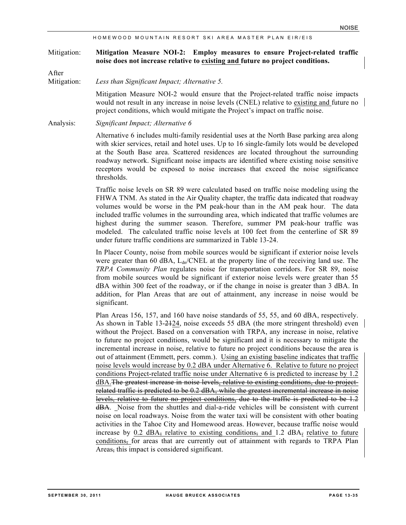#### Mitigation: **Mitigation Measure NOI-2: Employ measures to ensure Project-related traffic noise does not increase relative to existing and future no project conditions.**

After

Mitigation: *Less than Significant Impact; Alternative 5.*

Mitigation Measure NOI-2 would ensure that the Project-related traffic noise impacts would not result in any increase in noise levels (CNEL) relative to existing and future no project conditions, which would mitigate the Project's impact on traffic noise.

Analysis: *Significant Impact; Alternative 6*

Alternative 6 includes multi-family residential uses at the North Base parking area along with skier services, retail and hotel uses. Up to 16 single-family lots would be developed at the South Base area. Scattered residences are located throughout the surrounding roadway network. Significant noise impacts are identified where existing noise sensitive receptors would be exposed to noise increases that exceed the noise significance thresholds.

Traffic noise levels on SR 89 were calculated based on traffic noise modeling using the FHWA TNM. As stated in the Air Quality chapter, the traffic data indicated that roadway volumes would be worse in the PM peak-hour than in the AM peak hour. The data included traffic volumes in the surrounding area, which indicated that traffic volumes are highest during the summer season. Therefore, summer PM peak-hour traffic was modeled. The calculated traffic noise levels at 100 feet from the centerline of SR 89 under future traffic conditions are summarized in Table 13-24.

In Placer County, noise from mobile sources would be significant if exterior noise levels were greater than 60 dBA,  $L_{dn}/CNEL$  at the property line of the receiving land use. The *TRPA Community Plan* regulates noise for transportation corridors. For SR 89, noise from mobile sources would be significant if exterior noise levels were greater than 55 dBA within 300 feet of the roadway, or if the change in noise is greater than 3 dBA. In addition, for Plan Areas that are out of attainment, any increase in noise would be significant.

Plan Areas 156, 157, and 160 have noise standards of 55, 55, and 60 dBA, respectively. As shown in Table 13-2124, noise exceeds 55 dBA (the more stringent threshold) even without the Project. Based on a conversation with TRPA, any increase in noise, relative to future no project conditions, would be significant and it is necessary to mitigate the incremental increase in noise, relative to future no project conditions because the area is out of attainment (Emmett, pers. comm.). Using an existing baseline indicates that traffic noise levels would increase by 0.2 dBA under Alternative 6. Relative to future no project conditions Project-related traffic noise under Alternative 6 is predicted to increase by 1.2 dBA.The greatest increase in noise levels, relative to existing conditions, due to projectrelated traffic is predicted to be 0.2 dBA, while the greatest incremental increase in noise levels, relative to future no project conditions, due to the traffic is predicted to be 1.2 dBA. Noise from the shuttles and dial-a-ride vehicles will be consistent with current noise on local roadways. Noise from the water taxi will be consistent with other boating activities in the Tahoe City and Homewood areas. However, because traffic noise would increase by  $0.2$  dBA<sub>7</sub> relative to existing conditions, and  $1.2$  dBA<sub>7</sub> relative to future conditions, for areas that are currently out of attainment with regards to TRPA Plan Areas, this impact is considered significant.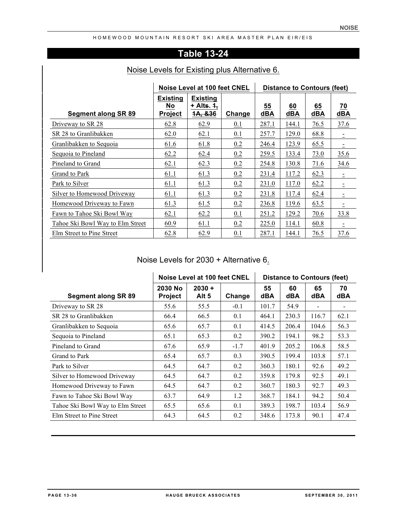# **Table 13-24**

|                                  | Noise Level at 100 feet CNEL     | <b>Distance to Contours (feet)</b>                  |        |           |           |           |                        |
|----------------------------------|----------------------------------|-----------------------------------------------------|--------|-----------|-----------|-----------|------------------------|
| Segment along SR 89              | Existing<br>No<br><b>Project</b> | <b>Existing</b><br>+ Alts. <del>1,</del><br>1A, &36 | Change | 55<br>dBA | 60<br>dBA | 65<br>dBA | $\overline{20}$<br>dBA |
| Driveway to SR 28                | 62.8                             | 62.9                                                | 0.1    | 287.1     | 144.1     | 76.5      | 37.6                   |
| SR 28 to Granlibakken            | 62.0                             | 62.1                                                | 0.1    | 257.7     | 129.0     | 68.8      |                        |
| Granlibakken to Sequoia          | 61.6                             | 61.8                                                | 0.2    | 246.4     | 123.9     | 65.5      |                        |
| Sequoia to Pineland              | 62.2                             | 62.4                                                | 0.2    | 259.5     | 133.4     | 73.0      | 35.6                   |
| Pineland to Grand                | 62.1                             | 62.3                                                | 0.2    | 254.8     | 130.8     | 71.6      | 34.6                   |
| Grand to Park                    | 61.1                             | 61.3                                                | 0.2    | 231.4     | 117.2     | 62.3      | $\equiv$               |
| Park to Silver                   | 61.1                             | 61.3                                                | 0.2    | 231.0     | 117.0     | 62.2      |                        |
| Silver to Homewood Driveway      | 61.1                             | 61.3                                                | 0.2    | 231.8     | 117.4     | 62.4      |                        |
| Homewood Driveway to Fawn        | 61.3                             | 61.5                                                | 0.2    | 236.8     | 119.6     | 63.5      |                        |
| Fawn to Tahoe Ski Bowl Way       | 62.1                             | 62.2                                                | 0.1    | 251.2     | 129.2     | 70.6      | 33.8                   |
| Tahoe Ski Bowl Way to Elm Street | 60.9                             | 61.1                                                | 0.2    | 225.0     | 114.1     | 60.8      |                        |
| Elm Street to Pine Street        | 62.8                             | 62.9                                                | 0.1    | 287.1     | 144.1     | 76.5      | 37.6                   |

# Noise Levels for Existing plus Alternative 6.

# Noise Levels for 2030 + Alternative 6.

|                                  | Noise Level at 100 feet CNEL |                   |        | <b>Distance to Contours (feet)</b> |           |                  |                  |  |
|----------------------------------|------------------------------|-------------------|--------|------------------------------------|-----------|------------------|------------------|--|
| <b>Segment along SR 89</b>       | 2030 No<br><b>Project</b>    | $2030 +$<br>Alt 5 | Change | 55<br>dBA                          | 60<br>dBA | 65<br><b>dBA</b> | 70<br><b>dBA</b> |  |
| Driveway to SR 28                | 55.6                         | 55.5              | $-0.1$ | 101.7                              | 54.9      |                  |                  |  |
| SR 28 to Granlibakken            | 66.4                         | 66.5              | 0.1    | 464.1                              | 230.3     | 116.7            | 62.1             |  |
| Granlibakken to Sequoia          | 65.6                         | 65.7              | 0.1    | 414.5                              | 206.4     | 104.6            | 56.3             |  |
| Sequoia to Pineland              | 65.1                         | 65.3              | 0.2    | 390.2                              | 194.1     | 98.2             | 53.3             |  |
| Pineland to Grand                | 67.6                         | 65.9              | $-1.7$ | 401.9                              | 205.2     | 106.8            | 58.5             |  |
| Grand to Park                    | 65.4                         | 65.7              | 0.3    | 390.5                              | 199.4     | 103.8            | 57.1             |  |
| Park to Silver                   | 64.5                         | 64.7              | 0.2    | 360.3                              | 180.1     | 92.6             | 49.2             |  |
| Silver to Homewood Driveway      | 64.5                         | 64.7              | 0.2    | 359.8                              | 179.8     | 92.5             | 49.1             |  |
| Homewood Driveway to Fawn        | 64.5                         | 64.7              | 0.2    | 360.7                              | 180.3     | 92.7             | 49.3             |  |
| Fawn to Tahoe Ski Bowl Way       | 63.7                         | 64.9              | 1.2    | 368.7                              | 184.1     | 94.2             | 50.4             |  |
| Tahoe Ski Bowl Way to Elm Street | 65.5                         | 65.6              | 0.1    | 389.3                              | 198.7     | 103.4            | 56.9             |  |
| Elm Street to Pine Street        | 64.3                         | 64.5              | 0.2    | 348.6                              | 173.8     | 90.1             | 47.4             |  |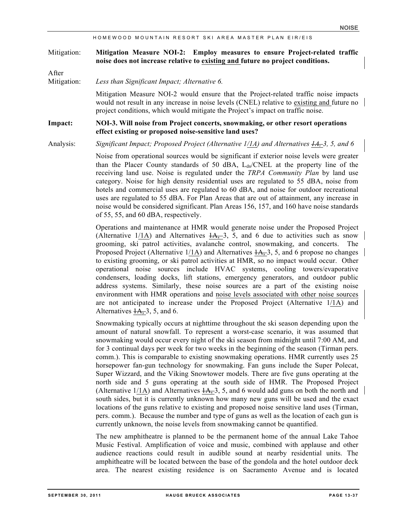#### Mitigation: **Mitigation Measure NOI-2: Employ measures to ensure Project-related traffic noise does not increase relative to existing and future no project conditions.**

After

Mitigation: *Less than Significant Impact; Alternative 6.*

Mitigation Measure NOI-2 would ensure that the Project-related traffic noise impacts would not result in any increase in noise levels (CNEL) relative to existing and future no project conditions, which would mitigate the Project's impact on traffic noise.

#### **Impact: NOI-3. Will noise from Project concerts, snowmaking, or other resort operations effect existing or proposed noise-sensitive land uses?**

Analysis: *Significant Impact; Proposed Project (Alternative 1/1A) and Alternatives 1A, 3, 5, and 6*

Noise from operational sources would be significant if exterior noise levels were greater than the Placer County standards of 50 dBA,  $L_{dn}/CNEL$  at the property line of the receiving land use. Noise is regulated under the *TRPA Community Plan* by land use category. Noise for high density residential uses are regulated to 55 dBA, noise from hotels and commercial uses are regulated to 60 dBA, and noise for outdoor recreational uses are regulated to 55 dBA. For Plan Areas that are out of attainment, any increase in noise would be considered significant. Plan Areas 156, 157, and 160 have noise standards of 55, 55, and 60 dBA, respectively.

Operations and maintenance at HMR would generate noise under the Proposed Project (Alternative 1/1A) and Alternatives  $1\overline{A}$ , 3, 5, and 6 due to activities such as snow grooming, ski patrol activities, avalanche control, snowmaking, and concerts. The Proposed Project (Alternative  $1/1$ A) and Alternatives  $1/4$ , 3, 5, and 6 propose no changes to existing grooming, or ski patrol activities at HMR, so no impact would occur. Other operational noise sources include HVAC systems, cooling towers/evaporative condensers, loading docks, lift stations, emergency generators, and outdoor public address systems. Similarly, these noise sources are a part of the existing noise environment with HMR operations and noise levels associated with other noise sources are not anticipated to increase under the Proposed Project (Alternative  $1/1$ A) and Alternatives  $1A$ , 3, 5, and 6.

Snowmaking typically occurs at nighttime throughout the ski season depending upon the amount of natural snowfall. To represent a worst-case scenario, it was assumed that snowmaking would occur every night of the ski season from midnight until 7:00 AM, and for 3 continual days per week for two weeks in the beginning of the season (Tirman pers. comm.). This is comparable to existing snowmaking operations. HMR currently uses 25 horsepower fan-gun technology for snowmaking. Fan guns include the Super Polecat, Super Wizzard, and the Viking Snowtower models. There are five guns operating at the north side and 5 guns operating at the south side of HMR. The Proposed Project (Alternative 1/1A) and Alternatives  $\frac{4A}{3}$ , 5, and 6 would add guns on both the north and south sides, but it is currently unknown how many new guns will be used and the exact locations of the guns relative to existing and proposed noise sensitive land uses (Tirman, pers. comm.). Because the number and type of guns as well as the location of each gun is currently unknown, the noise levels from snowmaking cannot be quantified.

The new amphitheatre is planned to be the permanent home of the annual Lake Tahoe Music Festival. Amplification of voice and music, combined with applause and other audience reactions could result in audible sound at nearby residential units. The amphitheatre will be located between the base of the gondola and the hotel outdoor deck area. The nearest existing residence is on Sacramento Avenue and is located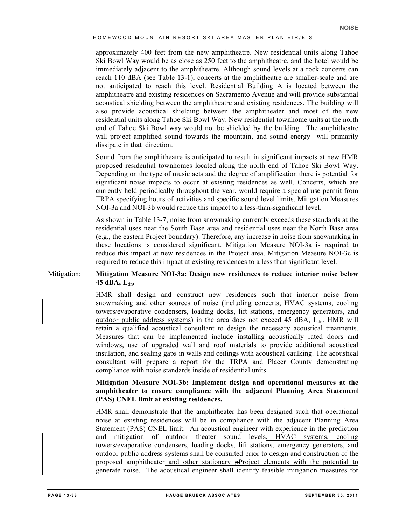approximately 400 feet from the new amphitheatre. New residential units along Tahoe Ski Bowl Way would be as close as 250 feet to the amphitheatre, and the hotel would be immediately adjacent to the amphitheatre. Although sound levels at a rock concerts can reach 110 dBA (see Table 13-1), concerts at the amphitheatre are smaller-scale and are not anticipated to reach this level. Residential Building A is located between the amphitheatre and existing residences on Sacramento Avenue and will provide substantial acoustical shielding between the amphitheatre and existing residences. The building will also provide acoustical shielding between the amphitheater and most of the new residential units along Tahoe Ski Bowl Way. New residential townhome units at the north end of Tahoe Ski Bowl way would not be shielded by the building. The amphitheatre will project amplified sound towards the mountain, and sound energy will primarily dissipate in that direction.

Sound from the amphitheatre is anticipated to result in significant impacts at new HMR proposed residential townhomes located along the north end of Tahoe Ski Bowl Way. Depending on the type of music acts and the degree of amplification there is potential for significant noise impacts to occur at existing residences as well. Concerts, which are currently held periodically throughout the year, would require a special use permit from TRPA specifying hours of activities and specific sound level limits. Mitigation Measures NOI-3a and NOI-3b would reduce this impact to a less-than-significant level.

As shown in Table 13-7, noise from snowmaking currently exceeds these standards at the residential uses near the South Base area and residential uses near the North Base area (e.g., the eastern Project boundary). Therefore, any increase in noise from snowmaking in these locations is considered significant. Mitigation Measure NOI-3a is required to reduce this impact at new residences in the Project area. Mitigation Measure NOI-3c is required to reduce this impact at existing residences to a less than significant level.

## Mitigation: **Mitigation Measure NOI-3a: Design new residences to reduce interior noise below 45 dBA, Ldn.**

HMR shall design and construct new residences such that interior noise from snowmaking and other sources of noise (including concerts, HVAC systems, cooling towers/evaporative condensers, loading docks, lift stations, emergency generators, and outdoor public address systems) in the area does not exceed 45 dBA,  $L_{dn}$ . HMR will retain a qualified acoustical consultant to design the necessary acoustical treatments. Measures that can be implemented include installing acoustically rated doors and windows, use of upgraded wall and roof materials to provide additional acoustical insulation, and sealing gaps in walls and ceilings with acoustical caulking. The acoustical consultant will prepare a report for the TRPA and Placer County demonstrating compliance with noise standards inside of residential units.

## **Mitigation Measure NOI-3b: Implement design and operational measures at the amphitheater to ensure compliance with the adjacent Planning Area Statement (PAS) CNEL limit at existing residences.**

HMR shall demonstrate that the amphitheater has been designed such that operational noise at existing residences will be in compliance with the adjacent Planning Area Statement (PAS) CNEL limit. An acoustical engineer with experience in the prediction and mitigation of outdoor theater sound levels, HVAC systems, cooling towers/evaporative condensers, loading docks, lift stations, emergency generators, and outdoor public address systems shall be consulted prior to design and construction of the proposed amphitheater and other stationary pProject elements with the potential to generate noise. The acoustical engineer shall identify feasible mitigation measures for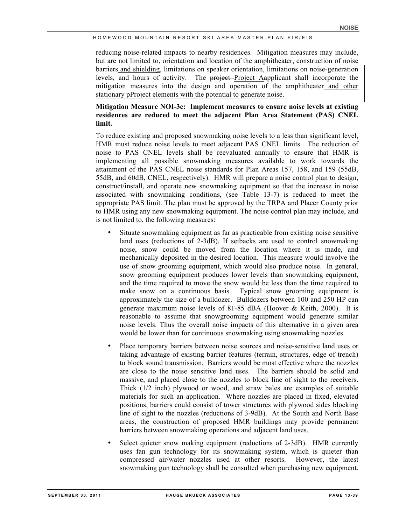reducing noise-related impacts to nearby residences. Mitigation measures may include, but are not limited to, orientation and location of the amphitheater, construction of noise barriers and shielding, limitations on speaker orientation, limitations on noise-generation levels, and hours of activity. The project-Project Aapplicant shall incorporate the mitigation measures into the design and operation of the amphitheater and other stationary pProject elements with the potential to generate noise.

## **Mitigation Measure NOI-3c: Implement measures to ensure noise levels at existing residences are reduced to meet the adjacent Plan Area Statement (PAS) CNEL limit.**

To reduce existing and proposed snowmaking noise levels to a less than significant level, HMR must reduce noise levels to meet adjacent PAS CNEL limits. The reduction of noise to PAS CNEL levels shall be reevaluated annually to ensure that HMR is implementing all possible snowmaking measures available to work towards the attainment of the PAS CNEL noise standards for Plan Areas 157, 158, and 159 (55dB, 55dB, and 60dB, CNEL, respectively). HMR will prepare a noise control plan to design, construct/install, and operate new snowmaking equipment so that the increase in noise associated with snowmaking conditions, (see Table 13-7) is reduced to meet the appropriate PAS limit. The plan must be approved by the TRPA and Placer County prior to HMR using any new snowmaking equipment. The noise control plan may include, and is not limited to, the following measures:

- Situate snowmaking equipment as far as practicable from existing noise sensitive land uses (reductions of 2-3dB). If setbacks are used to control snowmaking noise, snow could be moved from the location where it is made, and mechanically deposited in the desired location. This measure would involve the use of snow grooming equipment, which would also produce noise. In general, snow grooming equipment produces lower levels than snowmaking equipment, and the time required to move the snow would be less than the time required to make snow on a continuous basis. Typical snow grooming equipment is approximately the size of a bulldozer. Bulldozers between 100 and 250 HP can generate maximum noise levels of 81-85 dBA (Hoover & Keith, 2000). It is reasonable to assume that snowgrooming equipment would generate similar noise levels. Thus the overall noise impacts of this alternative in a given area would be lower than for continuous snowmaking using snowmaking nozzles.
- Place temporary barriers between noise sources and noise-sensitive land uses or taking advantage of existing barrier features (terrain, structures, edge of trench) to block sound transmission. Barriers would be most effective where the nozzles are close to the noise sensitive land uses. The barriers should be solid and massive, and placed close to the nozzles to block line of sight to the receivers. Thick (1/2 inch) plywood or wood, and straw bales are examples of suitable materials for such an application. Where nozzles are placed in fixed, elevated positions, barriers could consist of tower structures with plywood sides blocking line of sight to the nozzles (reductions of 3-9dB). At the South and North Base areas, the construction of proposed HMR buildings may provide permanent barriers between snowmaking operations and adjacent land uses.
- Select quieter snow making equipment (reductions of 2-3dB). HMR currently uses fan gun technology for its snowmaking system, which is quieter than compressed air/water nozzles used at other resorts. However, the latest snowmaking gun technology shall be consulted when purchasing new equipment.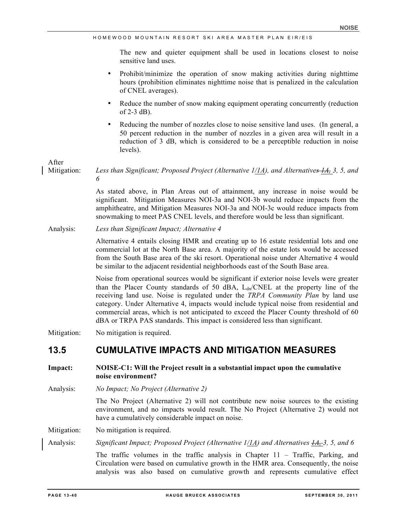The new and quieter equipment shall be used in locations closest to noise sensitive land uses.

- Prohibit/minimize the operation of snow making activities during nighttime hours (prohibition eliminates nighttime noise that is penalized in the calculation of CNEL averages).
- Reduce the number of snow making equipment operating concurrently (reduction of  $2-3$  dB).
- Reducing the number of nozzles close to noise sensitive land uses. (In general, a 50 percent reduction in the number of nozzles in a given area will result in a reduction of 3 dB, which is considered to be a perceptible reduction in noise levels).

After

Mitigation: *Less than Significant; Proposed Project (Alternative 1/1A), and Alternatives 1A, 3, 5, and 6*

> As stated above, in Plan Areas out of attainment, any increase in noise would be significant. Mitigation Measures NOI-3a and NOI-3b would reduce impacts from the amphitheatre, and Mitigation Measures NOI-3a and NOI-3c would reduce impacts from snowmaking to meet PAS CNEL levels, and therefore would be less than significant.

Analysis: *Less than Significant Impact; Alternative 4*

Alternative 4 entails closing HMR and creating up to 16 estate residential lots and one commercial lot at the North Base area. A majority of the estate lots would be accessed from the South Base area of the ski resort. Operational noise under Alternative 4 would be similar to the adjacent residential neighborhoods east of the South Base area.

Noise from operational sources would be significant if exterior noise levels were greater than the Placer County standards of 50 dBA,  $L_{dn}/CNEL$  at the property line of the receiving land use. Noise is regulated under the *TRPA Community Plan* by land use category. Under Alternative 4, impacts would include typical noise from residential and commercial areas, which is not anticipated to exceed the Placer County threshold of 60 dBA or TRPA PAS standards. This impact is considered less than significant.

Mitigation: No mitigation is required.

# **13.5 CUMULATIVE IMPACTS AND MITIGATION MEASURES**

**Impact: NOISE-C1: Will the Project result in a substantial impact upon the cumulative noise environment?**

Analysis: *No Impact; No Project (Alternative 2)*

The No Project (Alternative 2) will not contribute new noise sources to the existing environment, and no impacts would result. The No Project (Alternative 2) would not have a cumulatively considerable impact on noise.

Mitigation: No mitigation is required.

Analysis: *Significant Impact; Proposed Project (Alternative 1/1A) and Alternatives 1A, 3, 5, and 6*

The traffic volumes in the traffic analysis in Chapter 11 – Traffic, Parking, and Circulation were based on cumulative growth in the HMR area. Consequently, the noise analysis was also based on cumulative growth and represents cumulative effect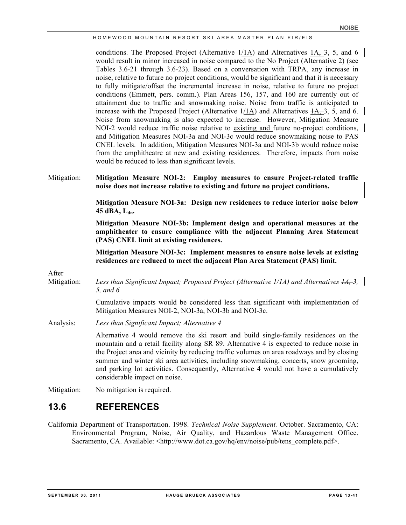conditions. The Proposed Project (Alternative  $1/1$ A) and Alternatives  $1/4$ , 3, 5, and 6 would result in minor increased in noise compared to the No Project (Alternative 2) (see Tables 3.6-21 through 3.6-23). Based on a conversation with TRPA, any increase in noise, relative to future no project conditions, would be significant and that it is necessary to fully mitigate/offset the incremental increase in noise, relative to future no project conditions (Emmett, pers. comm.). Plan Areas 156, 157, and 160 are currently out of attainment due to traffic and snowmaking noise. Noise from traffic is anticipated to increase with the Proposed Project (Alternative  $1/1$ A) and Alternatives  $4A$ , 3, 5, and 6. Noise from snowmaking is also expected to increase. However, Mitigation Measure NOI-2 would reduce traffic noise relative to existing and future no-project conditions, and Mitigation Measures NOI-3a and NOI-3c would reduce snowmaking noise to PAS CNEL levels. In addition, Mitigation Measures NOI-3a and NOI-3b would reduce noise from the amphitheatre at new and existing residences. Therefore, impacts from noise would be reduced to less than significant levels.

#### Mitigation: **Mitigation Measure NOI-2: Employ measures to ensure Project-related traffic noise does not increase relative to existing and future no project conditions.**

**Mitigation Measure NOI-3a: Design new residences to reduce interior noise below 45 dBA, Ldn.**

**Mitigation Measure NOI-3b: Implement design and operational measures at the amphitheater to ensure compliance with the adjacent Planning Area Statement (PAS) CNEL limit at existing residences.** 

**Mitigation Measure NOI-3c: Implement measures to ensure noise levels at existing residences are reduced to meet the adjacent Plan Area Statement (PAS) limit.**

After

Mitigation: *Less than Significant Impact; Proposed Project (Alternative 1/1A) and Alternatives 1A, 3, 5, and 6*

> Cumulative impacts would be considered less than significant with implementation of Mitigation Measures NOI-2, NOI-3a, NOI-3b and NOI-3c.

Analysis: *Less than Significant Impact; Alternative 4*

Alternative 4 would remove the ski resort and build single-family residences on the mountain and a retail facility along SR 89. Alternative 4 is expected to reduce noise in the Project area and vicinity by reducing traffic volumes on area roadways and by closing summer and winter ski area activities, including snowmaking, concerts, snow grooming, and parking lot activities. Consequently, Alternative 4 would not have a cumulatively considerable impact on noise.

Mitigation: No mitigation is required.

# **13.6 REFERENCES**

California Department of Transportation. 1998. *Technical Noise Supplement.* October. Sacramento, CA: Environmental Program, Noise, Air Quality, and Hazardous Waste Management Office. Sacramento, CA. Available: <http://www.dot.ca.gov/hq/env/noise/pub/tens\_complete.pdf>.